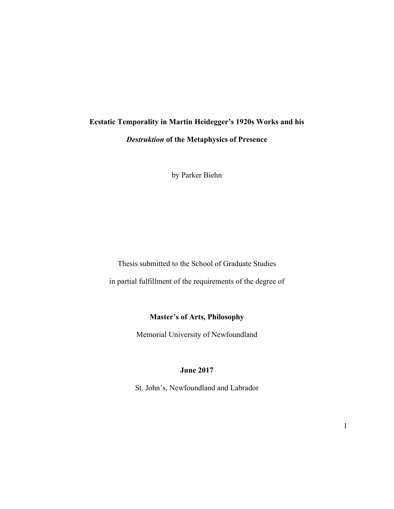# **Ecstatic Temporality in Martin Heidegger's 1920s Works and his**  *Destruktion* **of the Metaphysics of Presence**

by Parker Biehn

Thesis submitted to the School of Graduate Studies in partial fulfillment of the requirements of the degree of

## **Master's of Arts, Philosophy**

Memorial University of Newfoundland

## **June 2017**

St. John's, Newfoundland and Labrador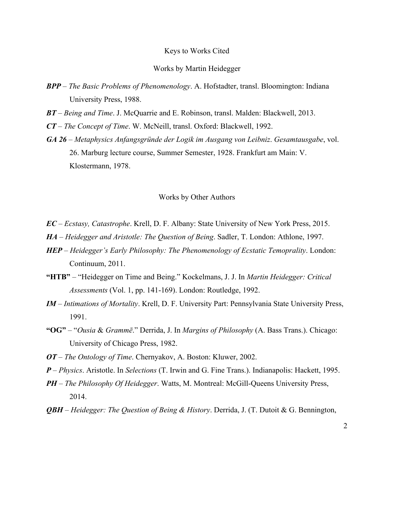#### Keys to Works Cited

#### Works by Martin Heidegger

- *BPP The Basic Problems of Phenomenology*. A. Hofstadter, transl. Bloomington: Indiana University Press, 1988.
- *BT Being and Time*. J. McQuarrie and E. Robinson, transl. Malden: Blackwell, 2013.
- *CT The Concept of Time*. W. McNeill, transl. Oxford: Blackwell, 1992.
- *GA 26 Metaphysics Anfangsgründe der Logik im Ausgang von Leibniz*. *Gesamtausgabe*, vol. 26. Marburg lecture course, Summer Semester, 1928. Frankfurt am Main: V. Klostermann, 1978.

#### Works by Other Authors

- *EC Ecstasy, Catastrophe*. Krell, D. F. Albany: State University of New York Press, 2015.
- *HA Heidegger and Aristotle: The Question of Being*. Sadler, T. London: Athlone, 1997.
- *HEP Heidegger's Early Philosophy: The Phenomenology of Ecstatic Temoprality*. London: Continuum, 2011.
- **"HTB"** *–* "Heidegger on Time and Being." Kockelmans, J. J. In *Martin Heidegger: Critical Assessments* (Vol. 1, pp. 141-169). London: Routledge, 1992.
- *IM Intimations of Mortality*. Krell, D. F. University Part: Pennsylvania State University Press, 1991.
- **"OG"**  "*Ousia* & *Grammē*." Derrida, J. In *Margins of Philosophy* (A. Bass Trans.). Chicago: University of Chicago Press, 1982.
- *OT The Ontology of Time*. Chernyakov, A. Boston: Kluwer, 2002.
- *P Physics*. Aristotle. In *Selections* (T. Irwin and G. Fine Trans.). Indianapolis: Hackett, 1995.
- *PH The Philosophy Of Heidegger*. Watts, M. Montreal: McGill-Queens University Press, 2014.
- *QBH Heidegger: The Question of Being & History*. Derrida, J. (T. Dutoit & G. Bennington,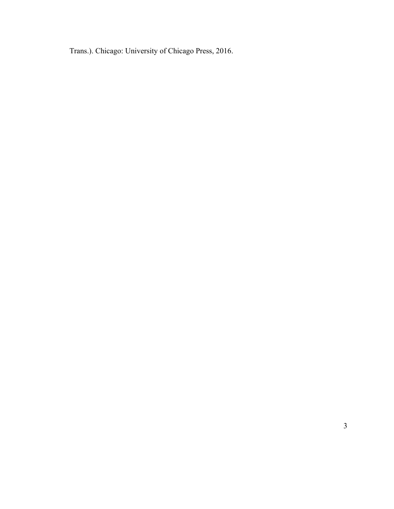Trans.). Chicago: University of Chicago Press, 2016.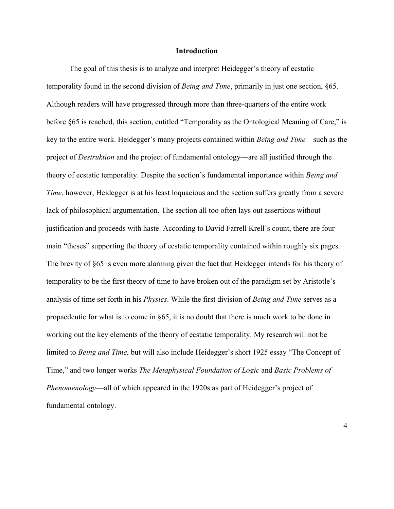#### **Introduction**

The goal of this thesis is to analyze and interpret Heidegger's theory of ecstatic temporality found in the second division of *Being and Time*, primarily in just one section, §65. Although readers will have progressed through more than three-quarters of the entire work before §65 is reached, this section, entitled "Temporality as the Ontological Meaning of Care," is key to the entire work. Heidegger's many projects contained within *Being and Time*—such as the project of *Destruktion* and the project of fundamental ontology—are all justified through the theory of ecstatic temporality. Despite the section's fundamental importance within *Being and Time*, however, Heidegger is at his least loquacious and the section suffers greatly from a severe lack of philosophical argumentation. The section all too often lays out assertions without justification and proceeds with haste. According to David Farrell Krell's count, there are four main "theses" supporting the theory of ecstatic temporality contained within roughly six pages. The brevity of §65 is even more alarming given the fact that Heidegger intends for his theory of temporality to be the first theory of time to have broken out of the paradigm set by Aristotle's analysis of time set forth in his *Physics*. While the first division of *Being and Time* serves as a propaedeutic for what is to come in §65, it is no doubt that there is much work to be done in working out the key elements of the theory of ecstatic temporality. My research will not be limited to *Being and Time*, but will also include Heidegger's short 1925 essay "The Concept of Time," and two longer works *The Metaphysical Foundation of Logic* and *Basic Problems of Phenomenology*—all of which appeared in the 1920s as part of Heidegger's project of fundamental ontology.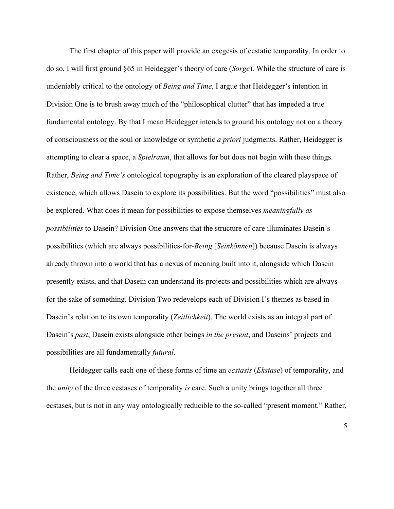The first chapter of this paper will provide an exegesis of ecstatic temporality. In order to do so, I will first ground §65 in Heidegger's theory of care (*Sorge*). While the structure of care is undeniably critical to the ontology of *Being and Time*, I argue that Heidegger's intention in Division One is to brush away much of the "philosophical clutter" that has impeded a true fundamental ontology. By that I mean Heidegger intends to ground his ontology not on a theory of consciousness or the soul or knowledge or synthetic *a priori* judgments. Rather, Heidegger is attempting to clear a space, a *Spielraum*, that allows for but does not begin with these things. Rather, *Being and Time's* ontological topography is an exploration of the cleared playspace of existence, which allows Dasein to explore its possibilities. But the word "possibilities" must also be explored. What does it mean for possibilities to expose themselves *meaningfully as possibilities* to Dasein? Division One answers that the structure of care illuminates Dasein's possibilities (which are always possibilities-for*-Being* [*Seinkönnen*]) because Dasein is always already thrown into a world that has a nexus of meaning built into it, alongside which Dasein presently exists, and that Dasein can understand its projects and possibilities which are always for the sake of something. Division Two redevelops each of Division I's themes as based in Dasein's relation to its own temporality (*Zeitlichkeit*). The world exists as an integral part of Dasein's *past*, Dasein exists alongside other beings *in the present*, and Daseins' projects and possibilities are all fundamentally *futural*.

Heidegger calls each one of these forms of time an *ecstasis* (*Ekstase*) of temporality, and the *unity* of the three ecstases of temporality *is* care. Such a unity brings together all three ecstases, but is not in any way ontologically reducible to the so-called "present moment." Rather,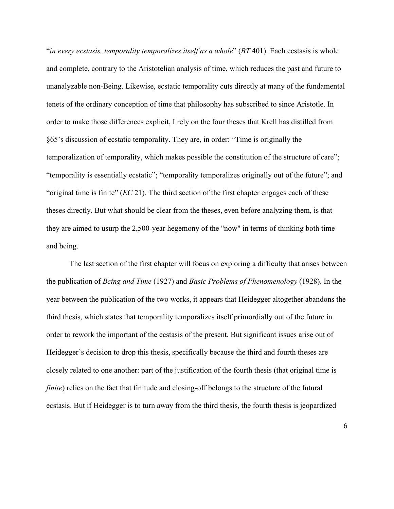"*in every ecstasis, temporality temporalizes itself as a whole*" (*BT* 401). Each ecstasis is whole and complete, contrary to the Aristotelian analysis of time, which reduces the past and future to unanalyzable non-Being. Likewise, ecstatic temporality cuts directly at many of the fundamental tenets of the ordinary conception of time that philosophy has subscribed to since Aristotle. In order to make those differences explicit, I rely on the four theses that Krell has distilled from §65's discussion of ecstatic temporality. They are, in order: "Time is originally the temporalization of temporality, which makes possible the constitution of the structure of care"; "temporality is essentially ecstatic"; "temporality temporalizes originally out of the future"; and "original time is finite" (*EC* 21). The third section of the first chapter engages each of these theses directly. But what should be clear from the theses, even before analyzing them, is that they are aimed to usurp the 2,500-year hegemony of the "now" in terms of thinking both time and being.

The last section of the first chapter will focus on exploring a difficulty that arises between the publication of *Being and Time* (1927) and *Basic Problems of Phenomenology* (1928). In the year between the publication of the two works, it appears that Heidegger altogether abandons the third thesis, which states that temporality temporalizes itself primordially out of the future in order to rework the important of the ecstasis of the present. But significant issues arise out of Heidegger's decision to drop this thesis, specifically because the third and fourth theses are closely related to one another: part of the justification of the fourth thesis (that original time is *finite*) relies on the fact that finitude and closing-off belongs to the structure of the futural ecstasis. But if Heidegger is to turn away from the third thesis, the fourth thesis is jeopardized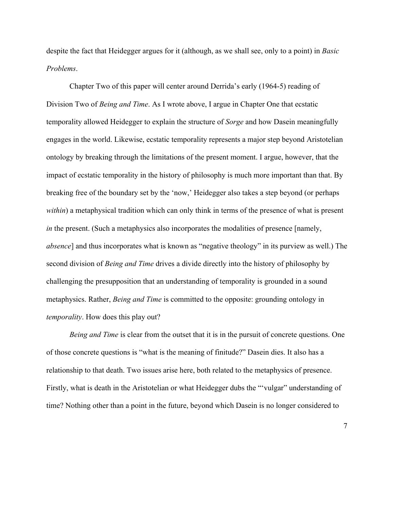despite the fact that Heidegger argues for it (although, as we shall see, only to a point) in *Basic Problems*.

Chapter Two of this paper will center around Derrida's early (1964-5) reading of Division Two of *Being and Time*. As I wrote above, I argue in Chapter One that ecstatic temporality allowed Heidegger to explain the structure of *Sorge* and how Dasein meaningfully engages in the world. Likewise, ecstatic temporality represents a major step beyond Aristotelian ontology by breaking through the limitations of the present moment. I argue, however, that the impact of ecstatic temporality in the history of philosophy is much more important than that. By breaking free of the boundary set by the 'now,' Heidegger also takes a step beyond (or perhaps *within*) a metaphysical tradition which can only think in terms of the presence of what is present *in* the present. (Such a metaphysics also incorporates the modalities of presence [namely, *absence*] and thus incorporates what is known as "negative theology" in its purview as well.) The second division of *Being and Time* drives a divide directly into the history of philosophy by challenging the presupposition that an understanding of temporality is grounded in a sound metaphysics. Rather, *Being and Time* is committed to the opposite: grounding ontology in *temporality*. How does this play out?

*Being and Time* is clear from the outset that it is in the pursuit of concrete questions. One of those concrete questions is "what is the meaning of finitude?" Dasein dies. It also has a relationship to that death. Two issues arise here, both related to the metaphysics of presence. Firstly, what is death in the Aristotelian or what Heidegger dubs the "'vulgar" understanding of time? Nothing other than a point in the future, beyond which Dasein is no longer considered to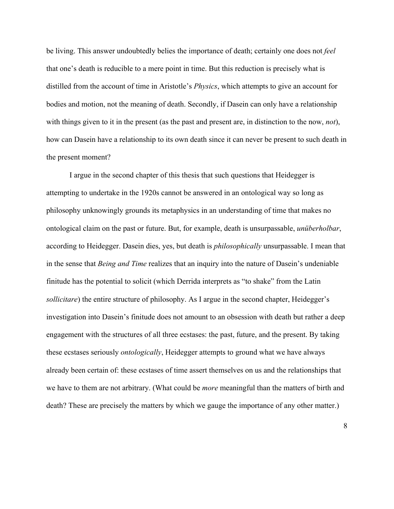be living. This answer undoubtedly belies the importance of death; certainly one does not *feel* that one's death is reducible to a mere point in time. But this reduction is precisely what is distilled from the account of time in Aristotle's *Physics*, which attempts to give an account for bodies and motion, not the meaning of death. Secondly, if Dasein can only have a relationship with things given to it in the present (as the past and present are, in distinction to the now, *not*), how can Dasein have a relationship to its own death since it can never be present to such death in the present moment?

I argue in the second chapter of this thesis that such questions that Heidegger is attempting to undertake in the 1920s cannot be answered in an ontological way so long as philosophy unknowingly grounds its metaphysics in an understanding of time that makes no ontological claim on the past or future. But, for example, death is unsurpassable, *unüberholbar*, according to Heidegger. Dasein dies, yes, but death is *philosophically* unsurpassable. I mean that in the sense that *Being and Time* realizes that an inquiry into the nature of Dasein's undeniable finitude has the potential to solicit (which Derrida interprets as "to shake" from the Latin *sollicitare*) the entire structure of philosophy. As I argue in the second chapter, Heidegger's investigation into Dasein's finitude does not amount to an obsession with death but rather a deep engagement with the structures of all three ecstases: the past, future, and the present. By taking these ecstases seriously *ontologically*, Heidegger attempts to ground what we have always already been certain of: these ecstases of time assert themselves on us and the relationships that we have to them are not arbitrary. (What could be *more* meaningful than the matters of birth and death? These are precisely the matters by which we gauge the importance of any other matter.)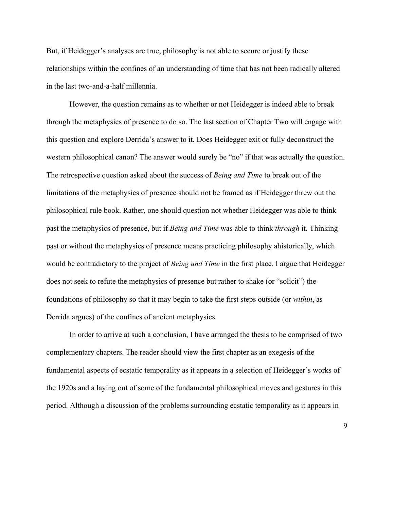But, if Heidegger's analyses are true, philosophy is not able to secure or justify these relationships within the confines of an understanding of time that has not been radically altered in the last two-and-a-half millennia.

However, the question remains as to whether or not Heidegger is indeed able to break through the metaphysics of presence to do so. The last section of Chapter Two will engage with this question and explore Derrida's answer to it. Does Heidegger exit or fully deconstruct the western philosophical canon? The answer would surely be "no" if that was actually the question. The retrospective question asked about the success of *Being and Time* to break out of the limitations of the metaphysics of presence should not be framed as if Heidegger threw out the philosophical rule book. Rather, one should question not whether Heidegger was able to think past the metaphysics of presence, but if *Being and Time* was able to think *through* it. Thinking past or without the metaphysics of presence means practicing philosophy ahistorically, which would be contradictory to the project of *Being and Time* in the first place. I argue that Heidegger does not seek to refute the metaphysics of presence but rather to shake (or "solicit") the foundations of philosophy so that it may begin to take the first steps outside (or *within*, as Derrida argues) of the confines of ancient metaphysics.

In order to arrive at such a conclusion, I have arranged the thesis to be comprised of two complementary chapters. The reader should view the first chapter as an exegesis of the fundamental aspects of ecstatic temporality as it appears in a selection of Heidegger's works of the 1920s and a laying out of some of the fundamental philosophical moves and gestures in this period. Although a discussion of the problems surrounding ecstatic temporality as it appears in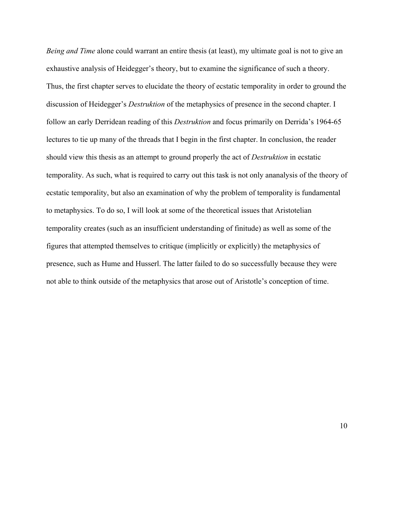*Being and Time* alone could warrant an entire thesis (at least), my ultimate goal is not to give an exhaustive analysis of Heidegger's theory, but to examine the significance of such a theory. Thus, the first chapter serves to elucidate the theory of ecstatic temporality in order to ground the discussion of Heidegger's *Destruktion* of the metaphysics of presence in the second chapter. I follow an early Derridean reading of this *Destruktion* and focus primarily on Derrida's 1964-65 lectures to tie up many of the threads that I begin in the first chapter. In conclusion, the reader should view this thesis as an attempt to ground properly the act of *Destruktion* in ecstatic temporality. As such, what is required to carry out this task is not only ananalysis of the theory of ecstatic temporality, but also an examination of why the problem of temporality is fundamental to metaphysics. To do so, I will look at some of the theoretical issues that Aristotelian temporality creates (such as an insufficient understanding of finitude) as well as some of the figures that attempted themselves to critique (implicitly or explicitly) the metaphysics of presence, such as Hume and Husserl. The latter failed to do so successfully because they were not able to think outside of the metaphysics that arose out of Aristotle's conception of time.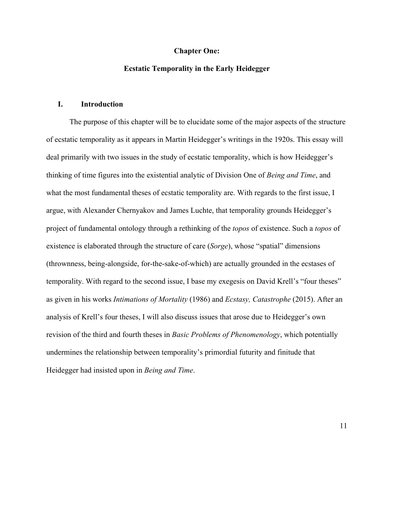#### **Chapter One:**

#### **Ecstatic Temporality in the Early Heidegger**

### **I. Introduction**

The purpose of this chapter will be to elucidate some of the major aspects of the structure of ecstatic temporality as it appears in Martin Heidegger's writings in the 1920s. This essay will deal primarily with two issues in the study of ecstatic temporality, which is how Heidegger's thinking of time figures into the existential analytic of Division One of *Being and Time*, and what the most fundamental theses of ecstatic temporality are. With regards to the first issue, I argue, with Alexander Chernyakov and James Luchte, that temporality grounds Heidegger's project of fundamental ontology through a rethinking of the *topos* of existence. Such a *topos* of existence is elaborated through the structure of care (*Sorge*), whose "spatial" dimensions (thrownness, being-alongside, for-the-sake-of-which) are actually grounded in the ecstases of temporality. With regard to the second issue, I base my exegesis on David Krell's "four theses" as given in his works *Intimations of Mortality* (1986) and *Ecstasy, Catastrophe* (2015). After an analysis of Krell's four theses, I will also discuss issues that arose due to Heidegger's own revision of the third and fourth theses in *Basic Problems of Phenomenology*, which potentially undermines the relationship between temporality's primordial futurity and finitude that Heidegger had insisted upon in *Being and Time*.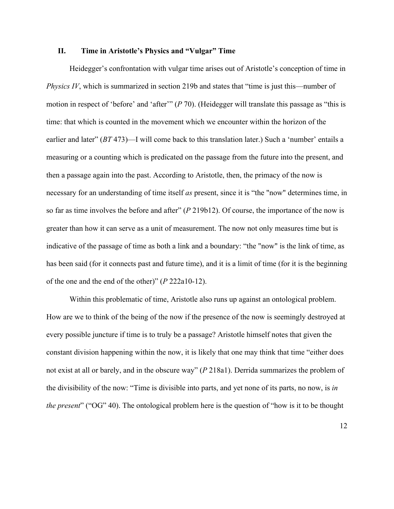#### **II. Time in Aristotle's Physics and "Vulgar" Time**

Heidegger's confrontation with vulgar time arises out of Aristotle's conception of time in *Physics IV*, which is summarized in section 219b and states that "time is just this—number of motion in respect of 'before' and 'after'" (*P* 70). (Heidegger will translate this passage as "this is time: that which is counted in the movement which we encounter within the horizon of the earlier and later" (*BT* 473)—I will come back to this translation later.) Such a 'number' entails a measuring or a counting which is predicated on the passage from the future into the present, and then a passage again into the past. According to Aristotle, then, the primacy of the now is necessary for an understanding of time itself *as* present, since it is "the "now" determines time, in so far as time involves the before and after" (*P* 219b12). Of course, the importance of the now is greater than how it can serve as a unit of measurement. The now not only measures time but is indicative of the passage of time as both a link and a boundary: "the "now" is the link of time, as has been said (for it connects past and future time), and it is a limit of time (for it is the beginning of the one and the end of the other)" (*P* 222a10-12).

Within this problematic of time, Aristotle also runs up against an ontological problem. How are we to think of the being of the now if the presence of the now is seemingly destroyed at every possible juncture if time is to truly be a passage? Aristotle himself notes that given the constant division happening within the now, it is likely that one may think that time "either does not exist at all or barely, and in the obscure way" (*P* 218a1). Derrida summarizes the problem of the divisibility of the now: "Time is divisible into parts, and yet none of its parts, no now, is *in the present*" ("OG" 40). The ontological problem here is the question of "how is it to be thought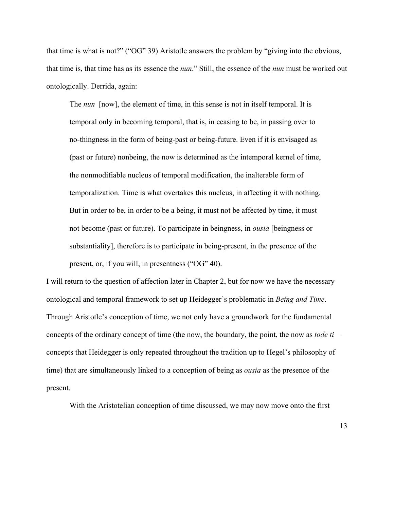that time is what is not?" ("OG" 39) Aristotle answers the problem by "giving into the obvious, that time is, that time has as its essence the *nun*." Still, the essence of the *nun* must be worked out ontologically. Derrida, again:

The *nun* [now], the element of time, in this sense is not in itself temporal. It is temporal only in becoming temporal, that is, in ceasing to be, in passing over to no-thingness in the form of being-past or being-future. Even if it is envisaged as (past or future) nonbeing, the now is determined as the intemporal kernel of time, the nonmodifiable nucleus of temporal modification, the inalterable form of temporalization. Time is what overtakes this nucleus, in affecting it with nothing. But in order to be, in order to be a being, it must not be affected by time, it must not become (past or future). To participate in beingness, in *ousia* [beingness or substantiality], therefore is to participate in being-present, in the presence of the present, or, if you will, in presentness ("OG" 40).

I will return to the question of affection later in Chapter 2, but for now we have the necessary ontological and temporal framework to set up Heidegger's problematic in *Being and Time*. Through Aristotle's conception of time, we not only have a groundwork for the fundamental concepts of the ordinary concept of time (the now, the boundary, the point, the now as *tode ti* concepts that Heidegger is only repeated throughout the tradition up to Hegel's philosophy of time) that are simultaneously linked to a conception of being as *ousia* as the presence of the present.

With the Aristotelian conception of time discussed, we may now move onto the first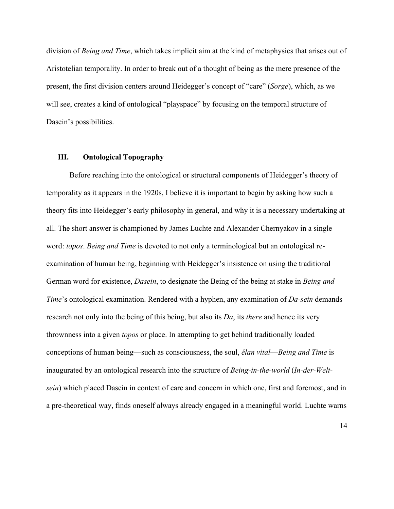division of *Being and Time*, which takes implicit aim at the kind of metaphysics that arises out of Aristotelian temporality. In order to break out of a thought of being as the mere presence of the present, the first division centers around Heidegger's concept of "care" (*Sorge*), which, as we will see, creates a kind of ontological "playspace" by focusing on the temporal structure of Dasein's possibilities.

## **III. Ontological Topography**

Before reaching into the ontological or structural components of Heidegger's theory of temporality as it appears in the 1920s, I believe it is important to begin by asking how such a theory fits into Heidegger's early philosophy in general, and why it is a necessary undertaking at all. The short answer is championed by James Luchte and Alexander Chernyakov in a single word: *topos*. *Being and Time* is devoted to not only a terminological but an ontological reexamination of human being, beginning with Heidegger's insistence on using the traditional German word for existence, *Dasein*, to designate the Being of the being at stake in *Being and Time*'s ontological examination. Rendered with a hyphen, any examination of *Da-sein* demands research not only into the being of this being, but also its *Da*, its *there* and hence its very thrownness into a given *topos* or place. In attempting to get behind traditionally loaded conceptions of human being—such as consciousness, the soul, *élan vital*—*Being and Time* is inaugurated by an ontological research into the structure of *Being-in-the-world* (*In-der-Weltsein*) which placed Dasein in context of care and concern in which one, first and foremost, and in a pre-theoretical way, finds oneself always already engaged in a meaningful world. Luchte warns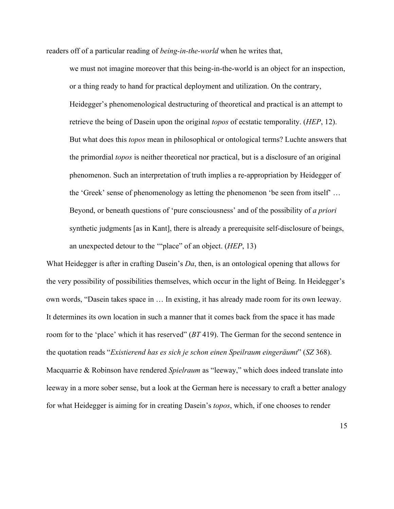readers off of a particular reading of *being-in-the-world* when he writes that,

we must not imagine moreover that this being-in-the-world is an object for an inspection, or a thing ready to hand for practical deployment and utilization. On the contrary, Heidegger's phenomenological destructuring of theoretical and practical is an attempt to retrieve the being of Dasein upon the original *topos* of ecstatic temporality. (*HEP*, 12). But what does this *topos* mean in philosophical or ontological terms? Luchte answers that the primordial *topos* is neither theoretical nor practical, but is a disclosure of an original phenomenon. Such an interpretation of truth implies a re-appropriation by Heidegger of the 'Greek' sense of phenomenology as letting the phenomenon 'be seen from itself' … Beyond, or beneath questions of 'pure consciousness' and of the possibility of *a priori* synthetic judgments [as in Kant], there is already a prerequisite self-disclosure of beings, an unexpected detour to the '"place" of an object. (*HEP*, 13)

What Heidegger is after in crafting Dasein's *Da*, then, is an ontological opening that allows for the very possibility of possibilities themselves, which occur in the light of Being. In Heidegger's own words, "Dasein takes space in … In existing, it has already made room for its own leeway. It determines its own location in such a manner that it comes back from the space it has made room for to the 'place' which it has reserved" (*BT* 419). The German for the second sentence in the quotation reads "*Existierend has es sich je schon einen Speilraum eingeräumt*" (*SZ* 368). Macquarrie & Robinson have rendered *Spielraum* as "leeway," which does indeed translate into leeway in a more sober sense, but a look at the German here is necessary to craft a better analogy for what Heidegger is aiming for in creating Dasein's *topos*, which, if one chooses to render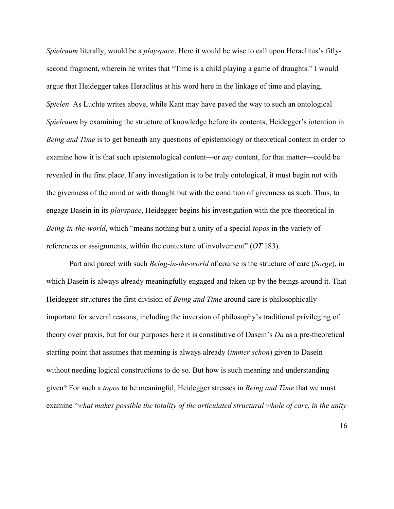*Spielraum* literally, would be a *playspace*. Here it would be wise to call upon Heraclitus's fiftysecond fragment, wherein he writes that "Time is a child playing a game of draughts." I would argue that Heidegger takes Heraclitus at his word here in the linkage of time and playing, *Spielen*. As Luchte writes above, while Kant may have paved the way to such an ontological *Spielraum* by examining the structure of knowledge before its contents, Heidegger's intention in *Being and Time* is to get beneath any questions of epistemology or theoretical content in order to examine how it is that such epistemological content—or *any* content, for that matter—could be revealed in the first place. If any investigation is to be truly ontological, it must begin not with the givenness of the mind or with thought but with the condition of givenness as such. Thus, to engage Dasein in its *playspace*, Heidegger begins his investigation with the pre-theoretical in *Being-in-the-world*, which "means nothing but a unity of a special *topos* in the variety of references or assignments, within the contexture of involvement" (*OT* 183).

Part and parcel with such *Being-in-the-world* of course is the structure of care (*Sorge*), in which Dasein is always already meaningfully engaged and taken up by the beings around it. That Heidegger structures the first division of *Being and Time* around care is philosophically important for several reasons, including the inversion of philosophy's traditional privileging of theory over praxis, but for our purposes here it is constitutive of Dasein's *Da* as a pre-theoretical starting point that assumes that meaning is always already (*immer schon*) given to Dasein without needing logical constructions to do so. But how is such meaning and understanding given? For such a *topos* to be meaningful, Heidegger stresses in *Being and Time* that we must examine "*what makes possible the totality of the articulated structural whole of care, in the unity*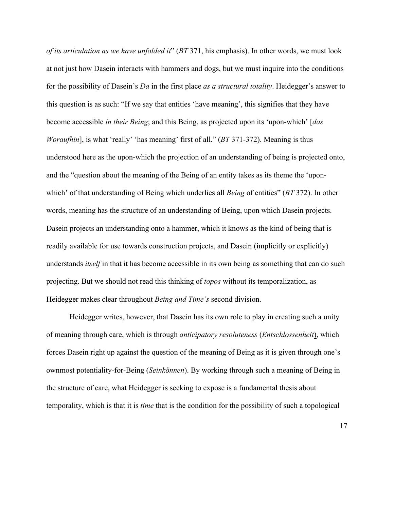*of its articulation as we have unfolded it*" (*BT* 371, his emphasis). In other words, we must look at not just how Dasein interacts with hammers and dogs, but we must inquire into the conditions for the possibility of Dasein's *Da* in the first place *as a structural totality*. Heidegger's answer to this question is as such: "If we say that entities 'have meaning', this signifies that they have become accessible *in their Being*; and this Being, as projected upon its 'upon-which' [*das Woraufhin*], is what 'really' 'has meaning' first of all." (*BT* 371-372). Meaning is thus understood here as the upon-which the projection of an understanding of being is projected onto, and the "question about the meaning of the Being of an entity takes as its theme the 'uponwhich' of that understanding of Being which underlies all *Being* of entities" (*BT* 372). In other words, meaning has the structure of an understanding of Being, upon which Dasein projects. Dasein projects an understanding onto a hammer, which it knows as the kind of being that is readily available for use towards construction projects, and Dasein (implicitly or explicitly) understands *itself* in that it has become accessible in its own being as something that can do such projecting. But we should not read this thinking of *topos* without its temporalization, as Heidegger makes clear throughout *Being and Time's* second division.

Heidegger writes, however, that Dasein has its own role to play in creating such a unity of meaning through care, which is through *anticipatory resoluteness* (*Entschlossenheit*), which forces Dasein right up against the question of the meaning of Being as it is given through one's ownmost potentiality-for-Being (*Seinkönnen*). By working through such a meaning of Being in the structure of care, what Heidegger is seeking to expose is a fundamental thesis about temporality, which is that it is *time* that is the condition for the possibility of such a topological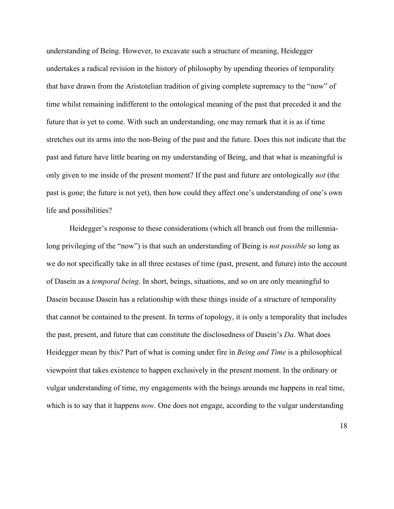understanding of Being. However, to excavate such a structure of meaning, Heidegger undertakes a radical revision in the history of philosophy by upending theories of temporality that have drawn from the Aristotelian tradition of giving complete supremacy to the "now" of time whilst remaining indifferent to the ontological meaning of the past that preceded it and the future that is yet to come. With such an understanding, one may remark that it is as if time stretches out its arms into the non-Being of the past and the future. Does this not indicate that the past and future have little bearing on my understanding of Being, and that what is meaningful is only given to me inside of the present moment? If the past and future are ontologically *not* (the past is gone; the future is not yet), then how could they affect one's understanding of one's own life and possibilities?

Heidegger's response to these considerations (which all branch out from the millennialong privileging of the "now") is that such an understanding of Being is *not possible* so long as we do not specifically take in all three ecstases of time (past, present, and future) into the account of Dasein as a *temporal being*. In short, beings, situations, and so on are only meaningful to Dasein because Dasein has a relationship with these things inside of a structure of temporality that cannot be contained to the present. In terms of topology, it is only a temporality that includes the past, present, and future that can constitute the disclosedness of Dasein's *Da*. What does Heidegger mean by this? Part of what is coming under fire in *Being and Time* is a philosophical viewpoint that takes existence to happen exclusively in the present moment. In the ordinary or vulgar understanding of time, my engagements with the beings arounds me happens in real time, which is to say that it happens *now*. One does not engage, according to the vulgar understanding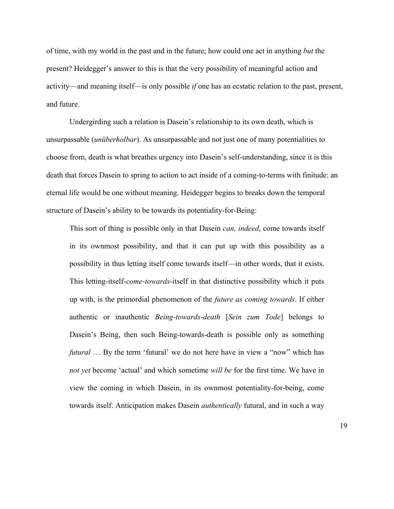of time, with my world in the past and in the future; how could one act in anything *but* the present? Heidegger's answer to this is that the very possibility of meaningful action and activity—and meaning itself—is only possible *if* one has an ecstatic relation to the past, present, and future.

Undergirding such a relation is Dasein's relationship to its own death, which is unsurpassable (*unüberholbar*). As unsurpassable and not just one of many potentialities to choose from, death is what breathes urgency into Dasein's self-understanding, since it is this death that forces Dasein to spring to action to act inside of a coming-to-terms with finitude: an eternal life would be one without meaning. Heidegger begins to breaks down the temporal structure of Dasein's ability to be towards its potentiality-for-Being:

This sort of thing is possible only in that Dasein *can, indeed*, come towards itself in its ownmost possibility, and that it can put up with this possibility as a possibility in thus letting itself come towards itself—in other words, that it exists. This letting-itself-*come-towards*-itself in that distinctive possibility which it puts up with, is the primordial phenomenon of the *future as coming towards*. If either authentic or inauthentic *Being-towards-death* [*Sein zum Tode*] belongs to Dasein's Being, then such Being-towards-death is possible only as something *futural* ... By the term 'futural' we do not here have in view a "now" which has *not yet* become 'actual' and which sometime *will be* for the first time. We have in view the coming in which Dasein, in its ownmost potentiality-for-being, come towards itself. Anticipation makes Dasein *authentically* futural, and in such a way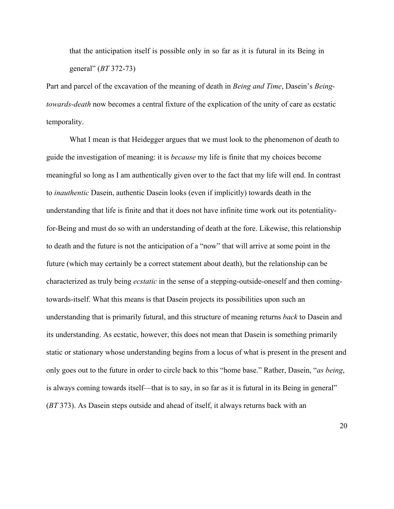that the anticipation itself is possible only in so far as it is futural in its Being in general" (*BT* 372-73)

Part and parcel of the excavation of the meaning of death in *Being and Time*, Dasein's *Beingtowards-death* now becomes a central fixture of the explication of the unity of care as ecstatic temporality.

What I mean is that Heidegger argues that we must look to the phenomenon of death to guide the investigation of meaning: it is *because* my life is finite that my choices become meaningful so long as I am authentically given over to the fact that my life will end. In contrast to *inauthentic* Dasein, authentic Dasein looks (even if implicitly) towards death in the understanding that life is finite and that it does not have infinite time work out its potentialityfor-Being and must do so with an understanding of death at the fore. Likewise, this relationship to death and the future is not the anticipation of a "now" that will arrive at some point in the future (which may certainly be a correct statement about death), but the relationship can be characterized as truly being *ecstatic* in the sense of a stepping-outside-oneself and then comingtowards-itself. What this means is that Dasein projects its possibilities upon such an understanding that is primarily futural, and this structure of meaning returns *back* to Dasein and its understanding. As ecstatic, however, this does not mean that Dasein is something primarily static or stationary whose understanding begins from a locus of what is present in the present and only goes out to the future in order to circle back to this "home base." Rather, Dasein, "*as being*, is always coming towards itself—that is to say, in so far as it is futural in its Being in general" (*BT* 373). As Dasein steps outside and ahead of itself, it always returns back with an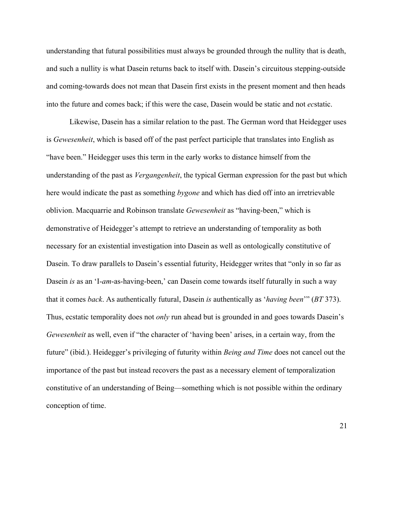understanding that futural possibilities must always be grounded through the nullity that is death, and such a nullity is what Dasein returns back to itself with. Dasein's circuitous stepping-outside and coming-towards does not mean that Dasein first exists in the present moment and then heads into the future and comes back; if this were the case, Dasein would be static and not *ec*static.

Likewise, Dasein has a similar relation to the past. The German word that Heidegger uses is *Gewesenheit*, which is based off of the past perfect participle that translates into English as "have been." Heidegger uses this term in the early works to distance himself from the understanding of the past as *Vergangenheit*, the typical German expression for the past but which here would indicate the past as something *bygone* and which has died off into an irretrievable oblivion. Macquarrie and Robinson translate *Gewesenheit* as "having-been," which is demonstrative of Heidegger's attempt to retrieve an understanding of temporality as both necessary for an existential investigation into Dasein as well as ontologically constitutive of Dasein. To draw parallels to Dasein's essential futurity, Heidegger writes that "only in so far as Dasein *is* as an 'I-*am*-as-having-been,' can Dasein come towards itself futurally in such a way that it comes *back*. As authentically futural, Dasein *is* authentically as '*having been*'" (*BT* 373). Thus, ecstatic temporality does not *only* run ahead but is grounded in and goes towards Dasein's *Gewesenheit* as well, even if "the character of 'having been' arises, in a certain way, from the future" (ibid.). Heidegger's privileging of futurity within *Being and Time* does not cancel out the importance of the past but instead recovers the past as a necessary element of temporalization constitutive of an understanding of Being—something which is not possible within the ordinary conception of time.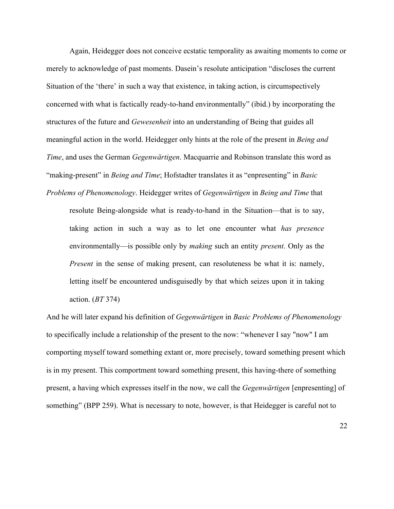Again, Heidegger does not conceive ecstatic temporality as awaiting moments to come or merely to acknowledge of past moments. Dasein's resolute anticipation "discloses the current Situation of the 'there' in such a way that existence, in taking action, is circumspectively concerned with what is factically ready-to-hand environmentally" (ibid.) by incorporating the structures of the future and *Gewesenheit* into an understanding of Being that guides all meaningful action in the world. Heidegger only hints at the role of the present in *Being and Time*, and uses the German *Gegenwärtigen*. Macquarrie and Robinson translate this word as "making-present" in *Being and Time*; Hofstadter translates it as "enpresenting" in *Basic Problems of Phenomenology*. Heidegger writes of *Gegenwärtigen* in *Being and Time* that

resolute Being-alongside what is ready-to-hand in the Situation—that is to say, taking action in such a way as to let one encounter what *has presence* environmentally—is possible only by *making* such an entity *present*. Only as the *Present* in the sense of making present, can resoluteness be what it is: namely, letting itself be encountered undisguisedly by that which seizes upon it in taking action. (*BT* 374)

And he will later expand his definition of *Gegenwärtigen* in *Basic Problems of Phenomenology*  to specifically include a relationship of the present to the now: "whenever I say "now" I am comporting myself toward something extant or, more precisely, toward something present which is in my present. This comportment toward something present, this having-there of something present, a having which expresses itself in the now, we call the *Gegenwärtigen* [enpresenting] of something" (BPP 259). What is necessary to note, however, is that Heidegger is careful not to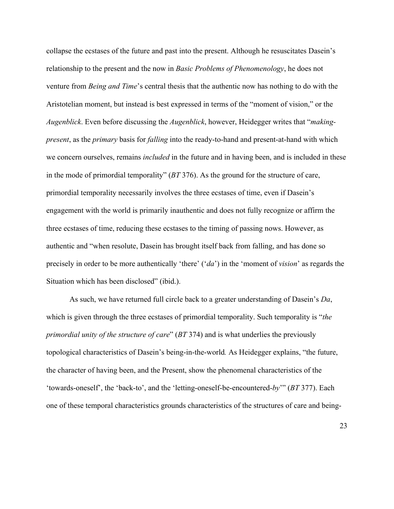collapse the ecstases of the future and past into the present. Although he resuscitates Dasein's relationship to the present and the now in *Basic Problems of Phenomenology*, he does not venture from *Being and Time*'s central thesis that the authentic now has nothing to do with the Aristotelian moment, but instead is best expressed in terms of the "moment of vision," or the *Augenblick*. Even before discussing the *Augenblick*, however, Heidegger writes that "*makingpresent*, as the *primary* basis for *falling* into the ready-to-hand and present-at-hand with which we concern ourselves, remains *included* in the future and in having been, and is included in these in the mode of primordial temporality" (*BT* 376). As the ground for the structure of care, primordial temporality necessarily involves the three ecstases of time, even if Dasein's engagement with the world is primarily inauthentic and does not fully recognize or affirm the three ecstases of time, reducing these ecstases to the timing of passing nows. However, as authentic and "when resolute, Dasein has brought itself back from falling, and has done so precisely in order to be more authentically 'there' ('*da*') in the 'moment of *vision*' as regards the Situation which has been disclosed" (ibid.).

As such, we have returned full circle back to a greater understanding of Dasein's *Da*, which is given through the three ecstases of primordial temporality. Such temporality is "*the primordial unity of the structure of care*" (*BT* 374) and is what underlies the previously topological characteristics of Dasein's being-in-the-world*.* As Heidegger explains, "the future, the character of having been, and the Present, show the phenomenal characteristics of the 'towards-oneself', the 'back-to', and the 'letting-oneself-be-encountered-*by*'" (*BT* 377). Each one of these temporal characteristics grounds characteristics of the structures of care and being-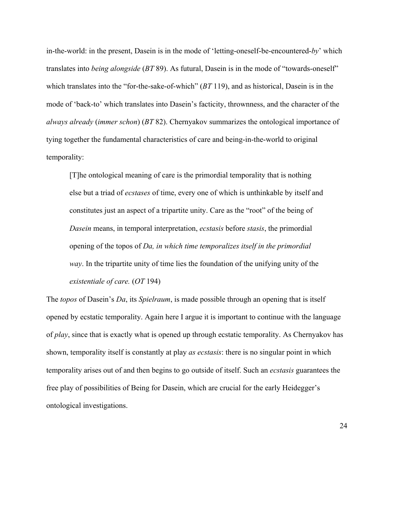in-the-world: in the present, Dasein is in the mode of 'letting-oneself-be-encountered-*by*' which translates into *being alongside* (*BT* 89). As futural, Dasein is in the mode of "towards-oneself" which translates into the "for-the-sake-of-which" (*BT* 119), and as historical, Dasein is in the mode of 'back-to' which translates into Dasein's facticity, thrownness, and the character of the *always already* (*immer schon*) (*BT* 82). Chernyakov summarizes the ontological importance of tying together the fundamental characteristics of care and being-in-the-world to original temporality:

[T]he ontological meaning of care is the primordial temporality that is nothing else but a triad of *ecstases* of time, every one of which is unthinkable by itself and constitutes just an aspect of a tripartite unity. Care as the "root" of the being of *Dasein* means, in temporal interpretation, *ecstasis* before *stasis*, the primordial opening of the topos of *Da, in which time temporalizes itself in the primordial way*. In the tripartite unity of time lies the foundation of the unifying unity of the *existentiale of care.* (*OT* 194)

The *topos* of Dasein's *Da*, its *Spielraum*, is made possible through an opening that is itself opened by ecstatic temporality. Again here I argue it is important to continue with the language of *play*, since that is exactly what is opened up through ecstatic temporality. As Chernyakov has shown, temporality itself is constantly at play *as ecstasis*: there is no singular point in which temporality arises out of and then begins to go outside of itself. Such an *ecstasis* guarantees the free play of possibilities of Being for Dasein, which are crucial for the early Heidegger's ontological investigations.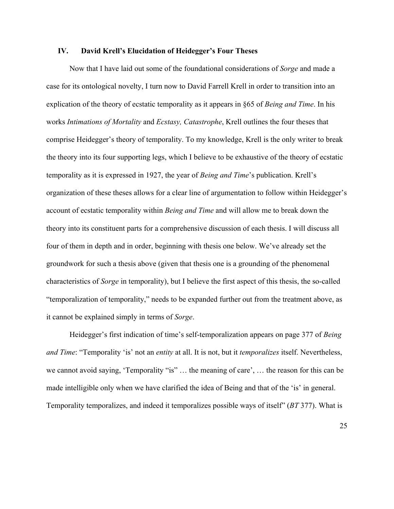## **IV. David Krell's Elucidation of Heidegger's Four Theses**

Now that I have laid out some of the foundational considerations of *Sorge* and made a case for its ontological novelty, I turn now to David Farrell Krell in order to transition into an explication of the theory of ecstatic temporality as it appears in §65 of *Being and Time*. In his works *Intimations of Mortality* and *Ecstasy, Catastrophe*, Krell outlines the four theses that comprise Heidegger's theory of temporality. To my knowledge, Krell is the only writer to break the theory into its four supporting legs, which I believe to be exhaustive of the theory of ecstatic temporality as it is expressed in 1927, the year of *Being and Time*'s publication. Krell's organization of these theses allows for a clear line of argumentation to follow within Heidegger's account of ecstatic temporality within *Being and Time* and will allow me to break down the theory into its constituent parts for a comprehensive discussion of each thesis. I will discuss all four of them in depth and in order, beginning with thesis one below. We've already set the groundwork for such a thesis above (given that thesis one is a grounding of the phenomenal characteristics of *Sorge* in temporality), but I believe the first aspect of this thesis, the so-called "temporalization of temporality," needs to be expanded further out from the treatment above, as it cannot be explained simply in terms of *Sorge*.

Heidegger's first indication of time's self-temporalization appears on page 377 of *Being and Time*: "Temporality 'is' not an *entity* at all. It is not, but it *temporalizes* itself. Nevertheless, we cannot avoid saying, 'Temporality "is" … the meaning of care', … the reason for this can be made intelligible only when we have clarified the idea of Being and that of the 'is' in general. Temporality temporalizes, and indeed it temporalizes possible ways of itself" (*BT* 377). What is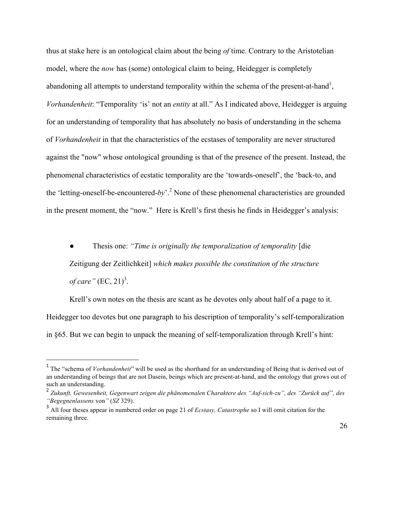thus at stake here is an ontological claim about the being *of* time. Contrary to the Aristotelian model, where the *now* has (some) ontological claim to being, Heidegger is completely abandoning all attempts to understand temporality within the schema of the present-at-hand<sup>1</sup>, *Vorhandenheit*: "Temporality 'is' not an *entity* at all." As I indicated above, Heidegger is arguing for an understanding of temporality that has absolutely no basis of understanding in the schema of *Vorhandenheit* in that the characteristics of the ecstases of temporality are never structured against the "now" whose ontological grounding is that of the presence of the present. Instead, the phenomenal characteristics of ecstatic temporality are the 'towards-oneself', the 'back-to, and the 'letting-oneself-be-encountered-*by*'.<sup>2</sup> None of these phenomenal characteristics are grounded in the present moment, the "now." Here is Krell's first thesis he finds in Heidegger's analysis:

● Thesis one: *"Time is originally the temporalization of temporality* [die Zeitigung der Zeitlichkeit] *which makes possible the constitution of the structure* 

*of care*"  $(EC, 21)^3$ .

 

Krell's own notes on the thesis are scant as he devotes only about half of a page to it. Heidegger too devotes but one paragraph to his description of temporality's self-temporalization in §65. But we can begin to unpack the meaning of self-temporalization through Krell's hint:

<sup>&</sup>lt;sup>1</sup> The "schema of *Vorhandenheit*" will be used as the shorthand for an understanding of Being that is derived out of an understanding of beings that are not Dasein, beings which are present-at-hand, and the ontology that grows out of such an understanding.

<sup>2</sup> *Zukunft, Gewesenheit, Gegenwart zeigen die phänomenalen Charaktere des "Auf-sich-zu", des "Zurück auf", des "Begegnenlassens* von*"* (*SZ* 329).

<sup>&</sup>lt;sup>3</sup> All four theses appear in numbered order on page 21 of *Ecstasy, Catastrophe* so I will omit citation for the remaining three.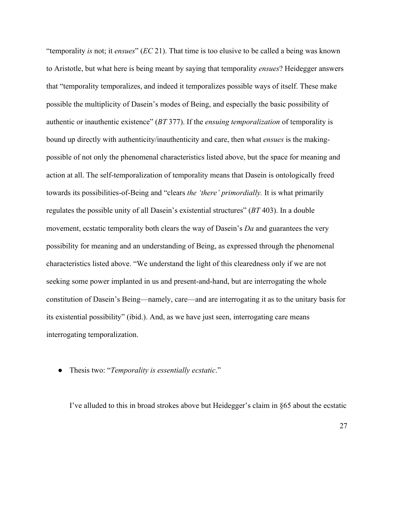"temporality *is* not; it *ensues*" (*EC* 21). That time is too elusive to be called a being was known to Aristotle, but what here is being meant by saying that temporality *ensues*? Heidegger answers that "temporality temporalizes, and indeed it temporalizes possible ways of itself. These make possible the multiplicity of Dasein's modes of Being, and especially the basic possibility of authentic or inauthentic existence" (*BT* 377). If the *ensuing temporalization* of temporality is bound up directly with authenticity/inauthenticity and care, then what *ensues* is the makingpossible of not only the phenomenal characteristics listed above, but the space for meaning and action at all. The self-temporalization of temporality means that Dasein is ontologically freed towards its possibilities-of-Being and "clears *the 'there' primordially.* It is what primarily regulates the possible unity of all Dasein's existential structures" (*BT* 403). In a double movement, ecstatic temporality both clears the way of Dasein's *Da* and guarantees the very possibility for meaning and an understanding of Being, as expressed through the phenomenal characteristics listed above. "We understand the light of this clearedness only if we are not seeking some power implanted in us and present-and-hand, but are interrogating the whole constitution of Dasein's Being—namely, care—and are interrogating it as to the unitary basis for its existential possibility" (ibid.). And, as we have just seen, interrogating care means interrogating temporalization.

● Thesis two: "*Temporality is essentially ecstatic*."

I've alluded to this in broad strokes above but Heidegger's claim in §65 about the ecstatic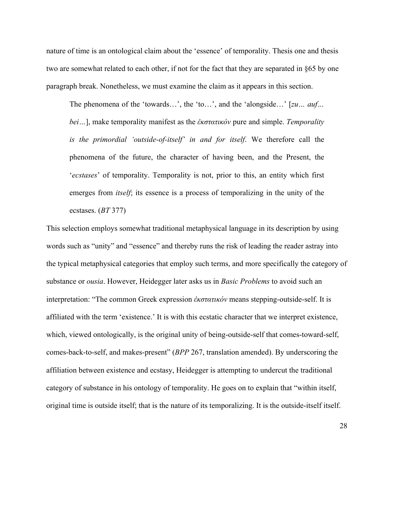nature of time is an ontological claim about the 'essence' of temporality. Thesis one and thesis two are somewhat related to each other, if not for the fact that they are separated in §65 by one paragraph break. Nonetheless, we must examine the claim as it appears in this section.

The phenomena of the 'towards…', the 'to…', and the 'alongside…' [*zu… auf… bei…*], make temporality manifest as the *ἐκστατικόν* pure and simple. *Temporality is the primordial 'outside-of-itself' in and for itself*. We therefore call the phenomena of the future, the character of having been, and the Present, the '*ecstases*' of temporality. Temporality is not, prior to this, an entity which first emerges from *itself*; its essence is a process of temporalizing in the unity of the ecstases. (*BT* 377)

This selection employs somewhat traditional metaphysical language in its description by using words such as "unity" and "essence" and thereby runs the risk of leading the reader astray into the typical metaphysical categories that employ such terms, and more specifically the category of substance or *ousia*. However, Heidegger later asks us in *Basic Problems* to avoid such an interpretation: "The common Greek expression *ἐκστατικόν* means stepping-outside-self. It is affiliated with the term 'existence.' It is with this ecstatic character that we interpret existence, which, viewed ontologically, is the original unity of being-outside-self that comes-toward-self, comes-back-to-self, and makes-present" (*BPP* 267, translation amended). By underscoring the affiliation between existence and ecstasy, Heidegger is attempting to undercut the traditional category of substance in his ontology of temporality. He goes on to explain that "within itself, original time is outside itself; that is the nature of its temporalizing. It is the outside-itself itself.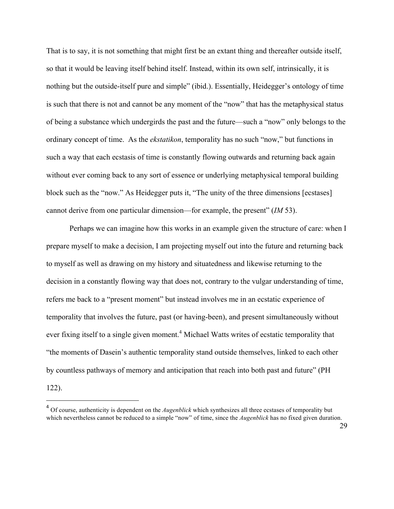That is to say, it is not something that might first be an extant thing and thereafter outside itself, so that it would be leaving itself behind itself. Instead, within its own self, intrinsically, it is nothing but the outside-itself pure and simple" (ibid.). Essentially, Heidegger's ontology of time is such that there is not and cannot be any moment of the "now" that has the metaphysical status of being a substance which undergirds the past and the future—such a "now" only belongs to the ordinary concept of time. As the *ekstatikon*, temporality has no such "now," but functions in such a way that each ecstasis of time is constantly flowing outwards and returning back again without ever coming back to any sort of essence or underlying metaphysical temporal building block such as the "now." As Heidegger puts it, "The unity of the three dimensions [ecstases] cannot derive from one particular dimension—for example, the present" (*IM* 53).

Perhaps we can imagine how this works in an example given the structure of care: when I prepare myself to make a decision, I am projecting myself out into the future and returning back to myself as well as drawing on my history and situatedness and likewise returning to the decision in a constantly flowing way that does not, contrary to the vulgar understanding of time, refers me back to a "present moment" but instead involves me in an ecstatic experience of temporality that involves the future, past (or having-been), and present simultaneously without ever fixing itself to a single given moment.<sup>4</sup> Michael Watts writes of ecstatic temporality that "the moments of Dasein's authentic temporality stand outside themselves, linked to each other by countless pathways of memory and anticipation that reach into both past and future" (PH

122).

<sup>&</sup>lt;sup>4</sup> Of course, authenticity is dependent on the *Augenblick* which synthesizes all three ecstases of temporality but which nevertheless cannot be reduced to a simple "now" of time, since the *Augenblick* has no fixed given duration.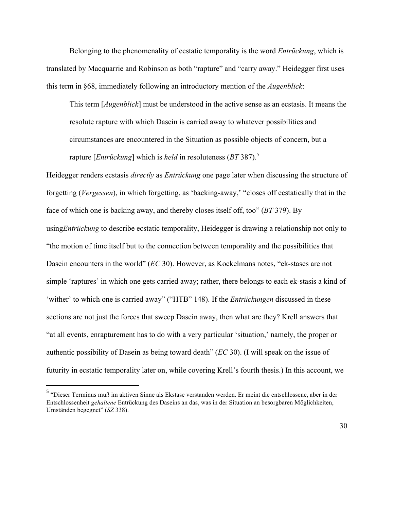Belonging to the phenomenality of ecstatic temporality is the word *Entrückung*, which is translated by Macquarrie and Robinson as both "rapture" and "carry away." Heidegger first uses this term in §68, immediately following an introductory mention of the *Augenblick*:

This term [*Augenblick*] must be understood in the active sense as an ecstasis. It means the resolute rapture with which Dasein is carried away to whatever possibilities and circumstances are encountered in the Situation as possible objects of concern, but a rapture [*Entrückung*] which is *held* in resoluteness (*BT* 387).5

Heidegger renders ecstasis *directly* as *Entrückung* one page later when discussing the structure of forgetting (*Vergessen*), in which forgetting, as 'backing-away,' "closes off ecstatically that in the face of which one is backing away, and thereby closes itself off, too" (*BT* 379). By using*Entrückung* to describe ecstatic temporality, Heidegger is drawing a relationship not only to "the motion of time itself but to the connection between temporality and the possibilities that Dasein encounters in the world" (*EC* 30). However, as Kockelmans notes, "ek-stases are not simple 'raptures' in which one gets carried away; rather, there belongs to each ek-stasis a kind of 'wither' to which one is carried away" ("HTB" 148). If the *Entrückungen* discussed in these sections are not just the forces that sweep Dasein away, then what are they? Krell answers that "at all events, enrapturement has to do with a very particular 'situation,' namely, the proper or authentic possibility of Dasein as being toward death" (*EC* 30). (I will speak on the issue of futurity in ecstatic temporality later on, while covering Krell's fourth thesis.) In this account, we

<sup>5</sup> "Dieser Terminus muß im aktiven Sinne als Ekstase verstanden werden. Er meint die entschlossene, aber in der Entschlossenheit *gehaltene* Entrückung des Daseins an das, was in der Situation an besorgbaren Möglichkeiten, Umständen begegnet" (*SZ* 338).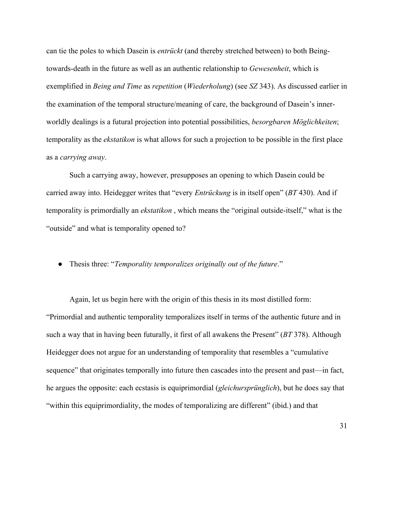can tie the poles to which Dasein is *entrückt* (and thereby stretched between) to both Beingtowards-death in the future as well as an authentic relationship to *Gewesenheit*, which is exemplified in *Being and Time* as *repetition* (*Wiederholung*) (see *SZ* 343). As discussed earlier in the examination of the temporal structure/meaning of care, the background of Dasein's innerworldly dealings is a futural projection into potential possibilities, *besorgbaren Möglichkeiten*; temporality as the *ekstatikon* is what allows for such a projection to be possible in the first place as a *carrying away*.

Such a carrying away, however, presupposes an opening to which Dasein could be carried away into. Heidegger writes that "every *Entrückung* is in itself open" (*BT* 430). And if temporality is primordially an *ekstatikon* , which means the "original outside-itself," what is the "outside" and what is temporality opened to?

● Thesis three: "*Temporality temporalizes originally out of the future*."

Again, let us begin here with the origin of this thesis in its most distilled form: "Primordial and authentic temporality temporalizes itself in terms of the authentic future and in such a way that in having been futurally, it first of all awakens the Present" (*BT* 378). Although Heidegger does not argue for an understanding of temporality that resembles a "cumulative sequence" that originates temporally into future then cascades into the present and past—in fact, he argues the opposite: each ecstasis is equiprimordial (*gleichursprünglich*), but he does say that "within this equiprimordiality, the modes of temporalizing are different" (ibid.) and that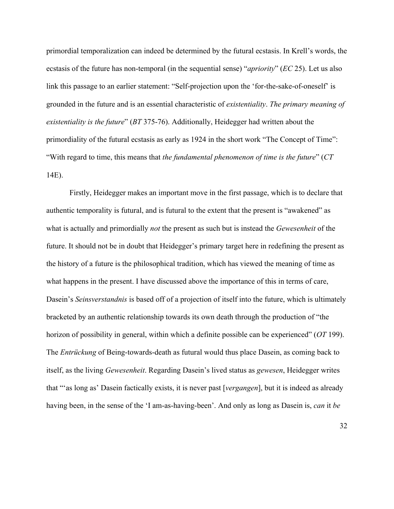primordial temporalization can indeed be determined by the futural ecstasis. In Krell's words, the ecstasis of the future has non-temporal (in the sequential sense) "*apriority*" (*EC* 25). Let us also link this passage to an earlier statement: "Self-projection upon the 'for-the-sake-of-oneself' is grounded in the future and is an essential characteristic of *existentiality*. *The primary meaning of existentiality is the future*" (*BT* 375-76). Additionally, Heidegger had written about the primordiality of the futural ecstasis as early as 1924 in the short work "The Concept of Time": "With regard to time, this means that *the fundamental phenomenon of time is the future*" (*CT* 14E).

Firstly, Heidegger makes an important move in the first passage, which is to declare that authentic temporality is futural, and is futural to the extent that the present is "awakened" as what is actually and primordially *not* the present as such but is instead the *Gewesenheit* of the future. It should not be in doubt that Heidegger's primary target here in redefining the present as the history of a future is the philosophical tradition, which has viewed the meaning of time as what happens in the present. I have discussed above the importance of this in terms of care, Dasein's *Seinsverstandnis* is based off of a projection of itself into the future, which is ultimately bracketed by an authentic relationship towards its own death through the production of "the horizon of possibility in general, within which a definite possible can be experienced" (*OT* 199). The *Entrückung* of Being-towards-death as futural would thus place Dasein, as coming back to itself, as the living *Gewesenheit*. Regarding Dasein's lived status as *gewesen*, Heidegger writes that "'as long as' Dasein factically exists, it is never past [*vergangen*], but it is indeed as already having been, in the sense of the 'I am-as-having-been'. And only as long as Dasein is, *can* it *be*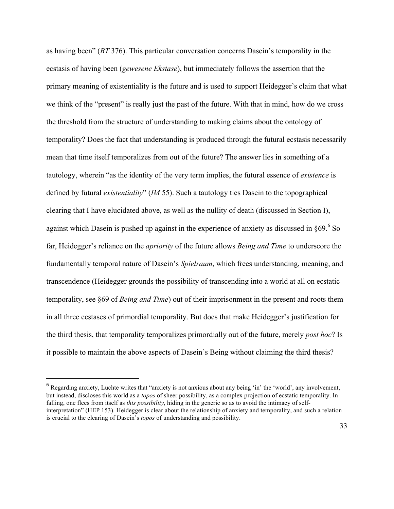as having been" (*BT* 376). This particular conversation concerns Dasein's temporality in the ecstasis of having been (*gewesene Ekstase*), but immediately follows the assertion that the primary meaning of existentiality is the future and is used to support Heidegger's claim that what we think of the "present" is really just the past of the future. With that in mind, how do we cross the threshold from the structure of understanding to making claims about the ontology of temporality? Does the fact that understanding is produced through the futural ecstasis necessarily mean that time itself temporalizes from out of the future? The answer lies in something of a tautology, wherein "as the identity of the very term implies, the futural essence of *existence* is defined by futural *existentiality*" (*IM* 55). Such a tautology ties Dasein to the topographical clearing that I have elucidated above, as well as the nullity of death (discussed in Section I), against which Dasein is pushed up against in the experience of anxiety as discussed in  $§69.6$  So far, Heidegger's reliance on the *apriority* of the future allows *Being and Time* to underscore the fundamentally temporal nature of Dasein's *Spielraum*, which frees understanding, meaning, and transcendence (Heidegger grounds the possibility of transcending into a world at all on ecstatic temporality, see §69 of *Being and Time*) out of their imprisonment in the present and roots them in all three ecstases of primordial temporality. But does that make Heidegger's justification for the third thesis, that temporality temporalizes primordially out of the future, merely *post hoc*? Is it possible to maintain the above aspects of Dasein's Being without claiming the third thesis?

<sup>&</sup>lt;sup>6</sup> Regarding anxiety, Luchte writes that "anxiety is not anxious about any being 'in' the 'world', any involvement, but instead, discloses this world as a *topos* of sheer possibility, as a complex projection of ecstatic temporality. In falling, one flees from itself as *this possibility*, hiding in the generic so as to avoid the intimacy of selfinterpretation" (HEP 153). Heidegger is clear about the relationship of anxiety and temporality, and such a relation is crucial to the clearing of Dasein's *topos* of understanding and possibility.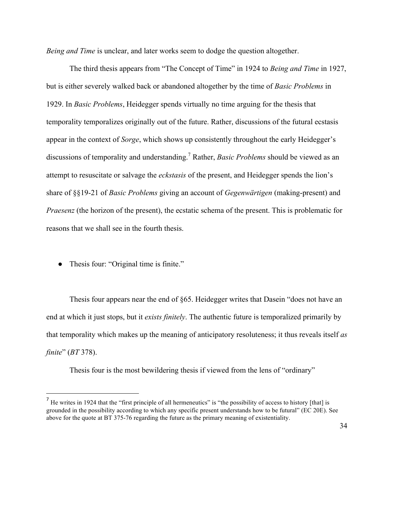*Being and Time* is unclear, and later works seem to dodge the question altogether.

The third thesis appears from "The Concept of Time" in 1924 to *Being and Time* in 1927, but is either severely walked back or abandoned altogether by the time of *Basic Problems* in 1929. In *Basic Problems*, Heidegger spends virtually no time arguing for the thesis that temporality temporalizes originally out of the future. Rather, discussions of the futural ecstasis appear in the context of *Sorge*, which shows up consistently throughout the early Heidegger's discussions of temporality and understanding.<sup>7</sup> Rather, *Basic Problems* should be viewed as an attempt to resuscitate or salvage the *eckstasis* of the present, and Heidegger spends the lion's share of §§19-21 of *Basic Problems* giving an account of *Gegenwärtigen* (making-present) and *Praesenz* (the horizon of the present), the ecstatic schema of the present. This is problematic for reasons that we shall see in the fourth thesis.

• Thesis four: "Original time is finite."

 

Thesis four appears near the end of §65. Heidegger writes that Dasein "does not have an end at which it just stops, but it *exists finitely*. The authentic future is temporalized primarily by that temporality which makes up the meaning of anticipatory resoluteness; it thus reveals itself *as finite*" (*BT* 378).

Thesis four is the most bewildering thesis if viewed from the lens of "ordinary"

 $<sup>7</sup>$  He writes in 1924 that the "first principle of all hermeneutics" is "the possibility of access to history [that] is</sup> grounded in the possibility according to which any specific present understands how to be futural" (EC 20E). See above for the quote at BT 375-76 regarding the future as the primary meaning of existentiality.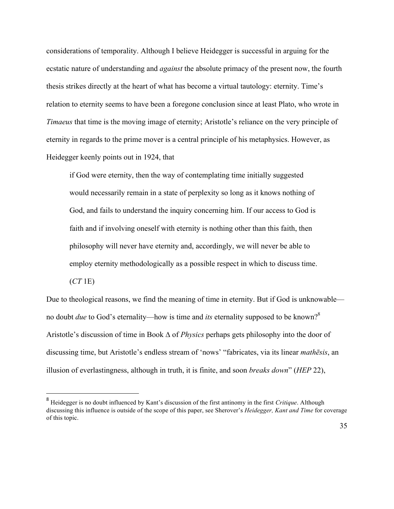considerations of temporality. Although I believe Heidegger is successful in arguing for the ecstatic nature of understanding and *against* the absolute primacy of the present now, the fourth thesis strikes directly at the heart of what has become a virtual tautology: eternity. Time's relation to eternity seems to have been a foregone conclusion since at least Plato, who wrote in *Timaeus* that time is the moving image of eternity; Aristotle's reliance on the very principle of eternity in regards to the prime mover is a central principle of his metaphysics. However, as Heidegger keenly points out in 1924, that

if God were eternity, then the way of contemplating time initially suggested would necessarily remain in a state of perplexity so long as it knows nothing of God, and fails to understand the inquiry concerning him. If our access to God is faith and if involving oneself with eternity is nothing other than this faith, then philosophy will never have eternity and, accordingly, we will never be able to employ eternity methodologically as a possible respect in which to discuss time.

(*CT* 1E)

 

Due to theological reasons, we find the meaning of time in eternity. But if God is unknowable no doubt *due* to God's eternality—how is time and *its* eternality supposed to be known?8 Aristotle's discussion of time in Book ∆ of *Physics* perhaps gets philosophy into the door of discussing time, but Aristotle's endless stream of 'nows' "fabricates, via its linear *mathēsis*, an illusion of everlastingness, although in truth, it is finite, and soon *breaks down*" (*HEP* 22),

<sup>8</sup> Heidegger is no doubt influenced by Kant's discussion of the first antinomy in the first *Critique*. Although discussing this influence is outside of the scope of this paper, see Sherover's *Heidegger, Kant and Time* for coverage of this topic.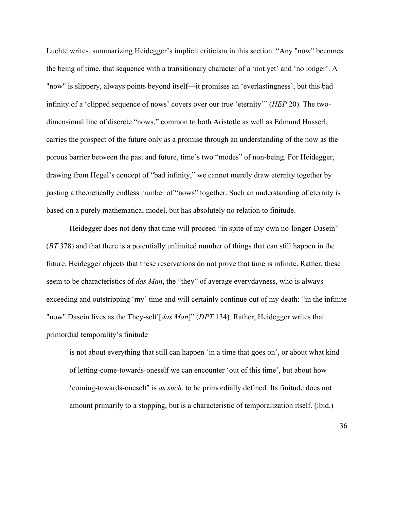Luchte writes, summarizing Heidegger's implicit criticism in this section. "Any "now" becomes the being of time, that sequence with a transitionary character of a 'not yet' and 'no longer'. A "now" is slippery, always points beyond itself—it promises an 'everlastingness', but this bad infinity of a 'clipped sequence of nows' covers over our true 'eternity'" (*HEP* 20). The twodimensional line of discrete "nows," common to both Aristotle as well as Edmund Husserl, carries the prospect of the future only as a promise through an understanding of the now as the porous barrier between the past and future, time's two "modes" of non-being. For Heidegger, drawing from Hegel's concept of "bad infinity," we cannot merely draw eternity together by pasting a theoretically endless number of "nows" together. Such an understanding of eternity is based on a purely mathematical model, but has absolutely no relation to finitude.

Heidegger does not deny that time will proceed "in spite of my own no-longer-Dasein" (*BT* 378) and that there is a potentially unlimited number of things that can still happen in the future. Heidegger objects that these reservations do not prove that time is infinite. Rather, these seem to be characteristics of *das Man*, the "they" of average everydayness, who is always exceeding and outstripping 'my' time and will certainly continue out of my death: "in the infinite "now" Dasein lives as the They-self [*das Man*]" (*DPT* 134). Rather, Heidegger writes that primordial temporality's finitude

is not about everything that still can happen 'in a time that goes on', or about what kind of letting-come-towards-oneself we can encounter 'out of this time', but about how 'coming-towards-oneself' is *as such*, to be primordially defined. Its finitude does not amount primarily to a stopping, but is a characteristic of temporalization itself. (ibid.)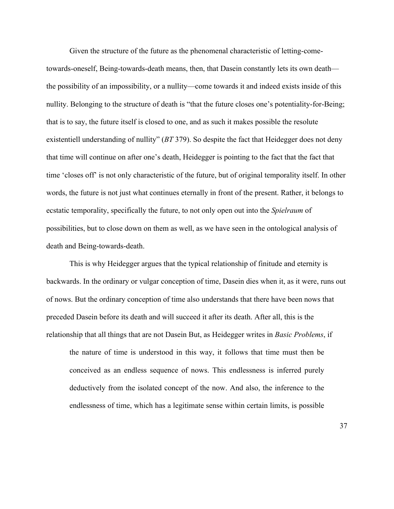Given the structure of the future as the phenomenal characteristic of letting-cometowards-oneself, Being-towards-death means, then, that Dasein constantly lets its own death the possibility of an impossibility, or a nullity—come towards it and indeed exists inside of this nullity. Belonging to the structure of death is "that the future closes one's potentiality-for-Being; that is to say, the future itself is closed to one, and as such it makes possible the resolute existentiell understanding of nullity" (*BT* 379). So despite the fact that Heidegger does not deny that time will continue on after one's death, Heidegger is pointing to the fact that the fact that time 'closes off' is not only characteristic of the future, but of original temporality itself. In other words, the future is not just what continues eternally in front of the present. Rather, it belongs to ecstatic temporality, specifically the future, to not only open out into the *Spielraum* of possibilities, but to close down on them as well, as we have seen in the ontological analysis of death and Being-towards-death.

This is why Heidegger argues that the typical relationship of finitude and eternity is backwards. In the ordinary or vulgar conception of time, Dasein dies when it, as it were, runs out of nows. But the ordinary conception of time also understands that there have been nows that preceded Dasein before its death and will succeed it after its death. After all, this is the relationship that all things that are not Dasein But, as Heidegger writes in *Basic Problems*, if

the nature of time is understood in this way, it follows that time must then be conceived as an endless sequence of nows. This endlessness is inferred purely deductively from the isolated concept of the now. And also, the inference to the endlessness of time, which has a legitimate sense within certain limits, is possible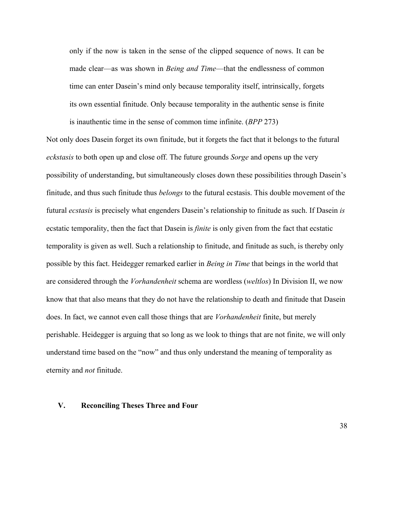only if the now is taken in the sense of the clipped sequence of nows. It can be made clear—as was shown in *Being and Time*—that the endlessness of common time can enter Dasein's mind only because temporality itself, intrinsically, forgets its own essential finitude. Only because temporality in the authentic sense is finite is inauthentic time in the sense of common time infinite. (*BPP* 273)

Not only does Dasein forget its own finitude, but it forgets the fact that it belongs to the futural *eckstasis* to both open up and close off. The future grounds *Sorge* and opens up the very possibility of understanding, but simultaneously closes down these possibilities through Dasein's finitude, and thus such finitude thus *belongs* to the futural ecstasis. This double movement of the futural *ecstasis* is precisely what engenders Dasein's relationship to finitude as such. If Dasein *is*  ecstatic temporality, then the fact that Dasein is *finite* is only given from the fact that ecstatic temporality is given as well. Such a relationship to finitude, and finitude as such, is thereby only possible by this fact. Heidegger remarked earlier in *Being in Time* that beings in the world that are considered through the *Vorhandenheit* schema are wordless (*weltlos*) In Division II, we now know that that also means that they do not have the relationship to death and finitude that Dasein does. In fact, we cannot even call those things that are *Vorhandenheit* finite, but merely perishable. Heidegger is arguing that so long as we look to things that are not finite, we will only understand time based on the "now" and thus only understand the meaning of temporality as eternity and *not* finitude.

### **V. Reconciling Theses Three and Four**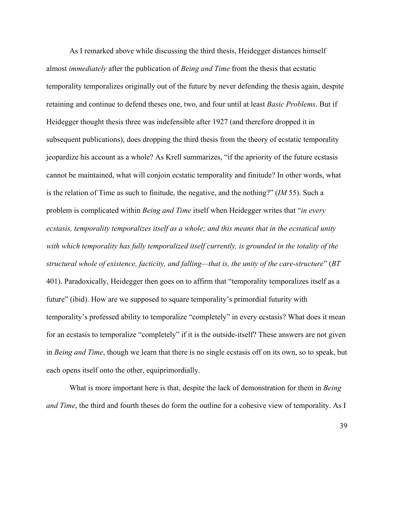As I remarked above while discussing the third thesis, Heidegger distances himself almost *immediately* after the publication of *Being and Time* from the thesis that ecstatic temporality temporalizes originally out of the future by never defending the thesis again, despite retaining and continue to defend theses one, two, and four until at least *Basic Problems*. But if Heidegger thought thesis three was indefensible after 1927 (and therefore dropped it in subsequent publications), does dropping the third thesis from the theory of ecstatic temporality jeopardize his account as a whole? As Krell summarizes, "if the apriority of the future ecstasis cannot be maintained, what will conjoin ecstatic temporality and finitude? In other words, what is the relation of Time as such to finitude, the negative, and the nothing?" (*IM* 55). Such a problem is complicated within *Being and Time* itself when Heidegger writes that "*in every ecstasis, temporality temporalizes itself as a whole; and this means that in the ecstatical unity with which temporality has fully temporalized itself currently, is grounded in the totality of the structural whole of existence, facticity, and falling—that is, the unity of the care-structure*" (*BT* 401). Paradoxically, Heidegger then goes on to affirm that "temporality temporalizes itself as a future" (ibid). How are we supposed to square temporality's primordial futurity with temporality's professed ability to temporalize "completely" in every ecstasis? What does it mean for an ecstasis to temporalize "completely" if it is the outside-itself? These answers are not given in *Being and Time*, though we learn that there is no single ecstasis off on its own, so to speak, but each opens itself onto the other, equiprimordially.

What is more important here is that, despite the lack of demonstration for them in *Being and Time*, the third and fourth theses do form the outline for a cohesive view of temporality. As I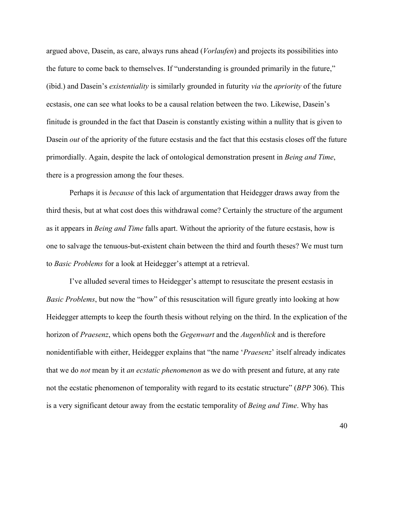argued above, Dasein, as care, always runs ahead (*Vorlaufen*) and projects its possibilities into the future to come back to themselves. If "understanding is grounded primarily in the future," (ibid.) and Dasein's *existentiality* is similarly grounded in futurity *via* the *apriority* of the future ecstasis, one can see what looks to be a causal relation between the two. Likewise, Dasein's finitude is grounded in the fact that Dasein is constantly existing within a nullity that is given to Dasein *out* of the apriority of the future ecstasis and the fact that this ecstasis closes off the future primordially. Again, despite the lack of ontological demonstration present in *Being and Time*, there is a progression among the four theses.

Perhaps it is *because* of this lack of argumentation that Heidegger draws away from the third thesis, but at what cost does this withdrawal come? Certainly the structure of the argument as it appears in *Being and Time* falls apart. Without the apriority of the future ecstasis, how is one to salvage the tenuous-but-existent chain between the third and fourth theses? We must turn to *Basic Problems* for a look at Heidegger's attempt at a retrieval.

I've alluded several times to Heidegger's attempt to resuscitate the present ecstasis in *Basic Problems*, but now the "how" of this resuscitation will figure greatly into looking at how Heidegger attempts to keep the fourth thesis without relying on the third. In the explication of the horizon of *Praesenz*, which opens both the *Gegenwart* and the *Augenblick* and is therefore nonidentifiable with either, Heidegger explains that "the name '*Praesenz*' itself already indicates that we do *not* mean by it *an ecstatic phenomenon* as we do with present and future, at any rate not the ecstatic phenomenon of temporality with regard to its ecstatic structure" (*BPP* 306). This is a very significant detour away from the ecstatic temporality of *Being and Time*. Why has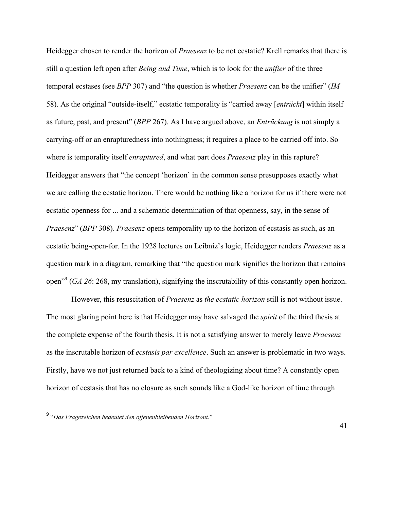Heidegger chosen to render the horizon of *Praesenz* to be not ecstatic? Krell remarks that there is still a question left open after *Being and Time*, which is to look for the *unifier* of the three temporal ecstases (see *BPP* 307) and "the question is whether *Praesenz* can be the unifier" (*IM* 58). As the original "outside-itself," ecstatic temporality is "carried away [*entrückt*] within itself as future, past, and present" (*BPP* 267). As I have argued above, an *Entrückung* is not simply a carrying-off or an enrapturedness into nothingness; it requires a place to be carried off into. So where is temporality itself *enraptured*, and what part does *Praesenz* play in this rapture? Heidegger answers that "the concept 'horizon' in the common sense presupposes exactly what we are calling the ecstatic horizon. There would be nothing like a horizon for us if there were not ecstatic openness for ... and a schematic determination of that openness, say, in the sense of *Praesenz*" (*BPP* 308). *Praesenz* opens temporality up to the horizon of ecstasis as such, as an ecstatic being-open-for. In the 1928 lectures on Leibniz's logic, Heidegger renders *Praesenz* as a question mark in a diagram, remarking that "the question mark signifies the horizon that remains open"9 (*GA 26*: 268, my translation), signifying the inscrutability of this constantly open horizon.

However, this resuscitation of *Praesenz* as *the ecstatic horizon* still is not without issue. The most glaring point here is that Heidegger may have salvaged the *spirit* of the third thesis at the complete expense of the fourth thesis. It is not a satisfying answer to merely leave *Praesenz* as the inscrutable horizon of *ecstasis par excellence*. Such an answer is problematic in two ways. Firstly, have we not just returned back to a kind of theologizing about time? A constantly open horizon of ecstasis that has no closure as such sounds like a God-like horizon of time through

<sup>9</sup> "*Das Fragezeichen bedeutet den offenenbleibenden Horizont*."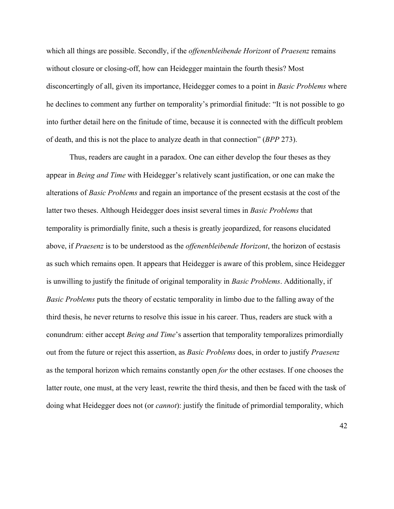which all things are possible. Secondly, if the *offenenbleibende Horizont* of *Praesenz* remains without closure or closing-off, how can Heidegger maintain the fourth thesis? Most disconcertingly of all, given its importance, Heidegger comes to a point in *Basic Problems* where he declines to comment any further on temporality's primordial finitude: "It is not possible to go into further detail here on the finitude of time, because it is connected with the difficult problem of death, and this is not the place to analyze death in that connection" (*BPP* 273).

Thus, readers are caught in a paradox. One can either develop the four theses as they appear in *Being and Time* with Heidegger's relatively scant justification, or one can make the alterations of *Basic Problems* and regain an importance of the present ecstasis at the cost of the latter two theses. Although Heidegger does insist several times in *Basic Problems* that temporality is primordially finite, such a thesis is greatly jeopardized, for reasons elucidated above, if *Praesenz* is to be understood as the *offenenbleibende Horizont*, the horizon of ecstasis as such which remains open. It appears that Heidegger is aware of this problem, since Heidegger is unwilling to justify the finitude of original temporality in *Basic Problems*. Additionally, if *Basic Problems* puts the theory of ecstatic temporality in limbo due to the falling away of the third thesis, he never returns to resolve this issue in his career. Thus, readers are stuck with a conundrum: either accept *Being and Time*'s assertion that temporality temporalizes primordially out from the future or reject this assertion, as *Basic Problems* does, in order to justify *Praesenz* as the temporal horizon which remains constantly open *for* the other ecstases. If one chooses the latter route, one must, at the very least, rewrite the third thesis, and then be faced with the task of doing what Heidegger does not (or *cannot*): justify the finitude of primordial temporality, which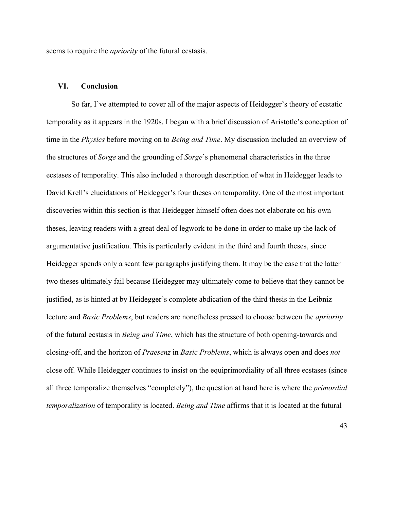seems to require the *apriority* of the futural ecstasis.

# **VI. Conclusion**

So far, I've attempted to cover all of the major aspects of Heidegger's theory of ecstatic temporality as it appears in the 1920s. I began with a brief discussion of Aristotle's conception of time in the *Physics* before moving on to *Being and Time*. My discussion included an overview of the structures of *Sorge* and the grounding of *Sorge*'s phenomenal characteristics in the three ecstases of temporality. This also included a thorough description of what in Heidegger leads to David Krell's elucidations of Heidegger's four theses on temporality. One of the most important discoveries within this section is that Heidegger himself often does not elaborate on his own theses, leaving readers with a great deal of legwork to be done in order to make up the lack of argumentative justification. This is particularly evident in the third and fourth theses, since Heidegger spends only a scant few paragraphs justifying them. It may be the case that the latter two theses ultimately fail because Heidegger may ultimately come to believe that they cannot be justified, as is hinted at by Heidegger's complete abdication of the third thesis in the Leibniz lecture and *Basic Problems*, but readers are nonetheless pressed to choose between the *apriority* of the futural ecstasis in *Being and Time*, which has the structure of both opening-towards and closing-off, and the horizon of *Praesenz* in *Basic Problems*, which is always open and does *not*  close off. While Heidegger continues to insist on the equiprimordiality of all three ecstases (since all three temporalize themselves "completely"), the question at hand here is where the *primordial temporalization* of temporality is located. *Being and Time* affirms that it is located at the futural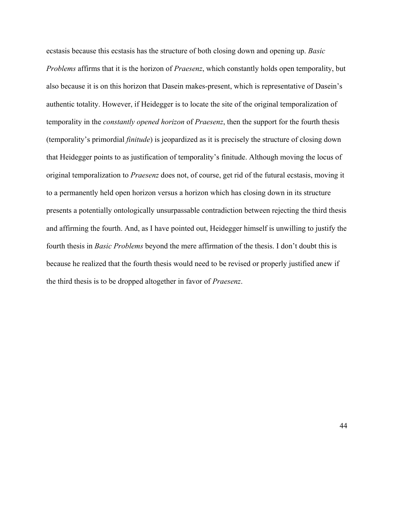ecstasis because this ecstasis has the structure of both closing down and opening up. *Basic Problems* affirms that it is the horizon of *Praesenz*, which constantly holds open temporality, but also because it is on this horizon that Dasein makes-present, which is representative of Dasein's authentic totality. However, if Heidegger is to locate the site of the original temporalization of temporality in the *constantly opened horizon* of *Praesenz*, then the support for the fourth thesis (temporality's primordial *finitude*) is jeopardized as it is precisely the structure of closing down that Heidegger points to as justification of temporality's finitude. Although moving the locus of original temporalization to *Praesenz* does not, of course, get rid of the futural ecstasis, moving it to a permanently held open horizon versus a horizon which has closing down in its structure presents a potentially ontologically unsurpassable contradiction between rejecting the third thesis and affirming the fourth. And, as I have pointed out, Heidegger himself is unwilling to justify the fourth thesis in *Basic Problems* beyond the mere affirmation of the thesis. I don't doubt this is because he realized that the fourth thesis would need to be revised or properly justified anew if the third thesis is to be dropped altogether in favor of *Praesenz*.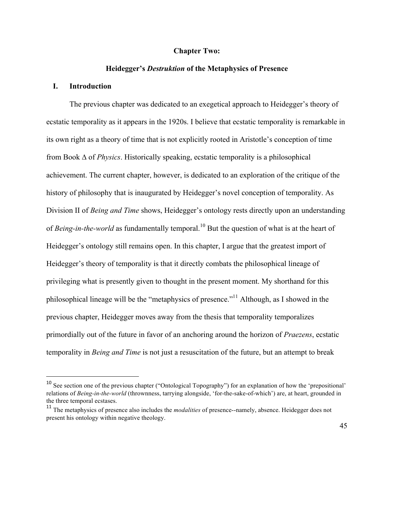### **Chapter Two:**

# **Heidegger's** *Destruktion* **of the Metaphysics of Presence**

# **I. Introduction**

 

The previous chapter was dedicated to an exegetical approach to Heidegger's theory of ecstatic temporality as it appears in the 1920s. I believe that ecstatic temporality is remarkable in its own right as a theory of time that is not explicitly rooted in Aristotle's conception of time from Book ∆ of *Physics*. Historically speaking, ecstatic temporality is a philosophical achievement. The current chapter, however, is dedicated to an exploration of the critique of the history of philosophy that is inaugurated by Heidegger's novel conception of temporality. As Division II of *Being and Time* shows, Heidegger's ontology rests directly upon an understanding of *Being-in-the-world* as fundamentally temporal.<sup>10</sup> But the question of what is at the heart of Heidegger's ontology still remains open. In this chapter, I argue that the greatest import of Heidegger's theory of temporality is that it directly combats the philosophical lineage of privileging what is presently given to thought in the present moment. My shorthand for this philosophical lineage will be the "metaphysics of presence."<sup>11</sup> Although, as I showed in the previous chapter, Heidegger moves away from the thesis that temporality temporalizes primordially out of the future in favor of an anchoring around the horizon of *Praezens*, ecstatic temporality in *Being and Time* is not just a resuscitation of the future, but an attempt to break

<sup>&</sup>lt;sup>10</sup> See section one of the previous chapter ("Ontological Topography") for an explanation of how the 'prepositional' relations of *Being-in-the-world* (thrownness, tarrying alongside, 'for-the-sake-of-which') are, at heart, grounded in the three temporal ecstases.

<sup>&</sup>lt;sup>11</sup> The metaphysics of presence also includes the *modalities* of presence--namely, absence. Heidegger does not present his ontology within negative theology.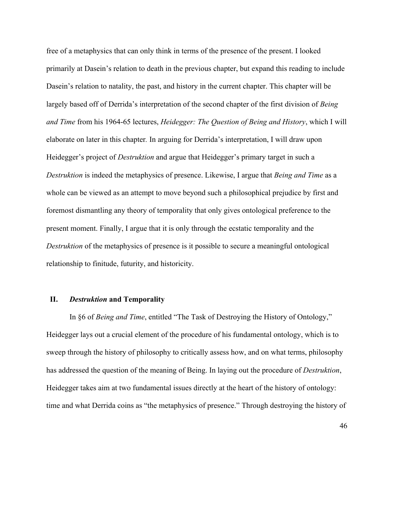free of a metaphysics that can only think in terms of the presence of the present. I looked primarily at Dasein's relation to death in the previous chapter, but expand this reading to include Dasein's relation to natality, the past, and history in the current chapter. This chapter will be largely based off of Derrida's interpretation of the second chapter of the first division of *Being and Time* from his 1964-65 lectures, *Heidegger: The Question of Being and History*, which I will elaborate on later in this chapter*.* In arguing for Derrida's interpretation, I will draw upon Heidegger's project of *Destruktion* and argue that Heidegger's primary target in such a *Destruktion* is indeed the metaphysics of presence. Likewise, I argue that *Being and Time* as a whole can be viewed as an attempt to move beyond such a philosophical prejudice by first and foremost dismantling any theory of temporality that only gives ontological preference to the present moment. Finally, I argue that it is only through the ecstatic temporality and the *Destruktion* of the metaphysics of presence is it possible to secure a meaningful ontological relationship to finitude, futurity, and historicity.

### **II.** *Destruktion* **and Temporality**

In §6 of *Being and Time*, entitled "The Task of Destroying the History of Ontology," Heidegger lays out a crucial element of the procedure of his fundamental ontology, which is to sweep through the history of philosophy to critically assess how, and on what terms, philosophy has addressed the question of the meaning of Being. In laying out the procedure of *Destruktion*, Heidegger takes aim at two fundamental issues directly at the heart of the history of ontology: time and what Derrida coins as "the metaphysics of presence." Through destroying the history of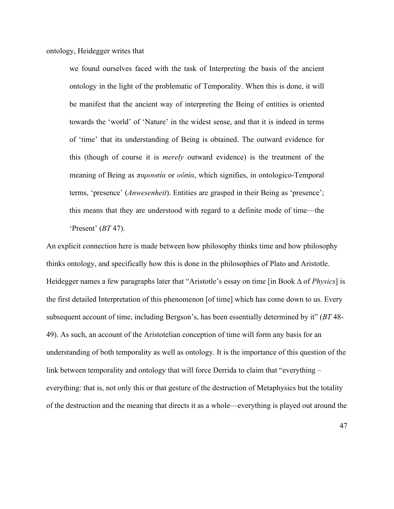ontology, Heidegger writes that

we found ourselves faced with the task of Interpreting the basis of the ancient ontology in the light of the problematic of Temporality. When this is done, it will be manifest that the ancient way of interpreting the Being of entities is oriented towards the 'world' of 'Nature' in the widest sense, and that it is indeed in terms of 'time' that its understanding of Being is obtained. The outward evidence for this (though of course it is *merely* outward evidence) is the treatment of the meaning of Being as *παρουσία* or *οὐσία*, which signifies, in ontologico-Temporal terms, 'presence' (*Anwesenheit*). Entities are grasped in their Being as 'presence'; this means that they are understood with regard to a definite mode of time—the 'Present' (*BT* 47).

An explicit connection here is made between how philosophy thinks time and how philosophy thinks ontology, and specifically how this is done in the philosophies of Plato and Aristotle. Heidegger names a few paragraphs later that "Aristotle's essay on time [in Book ∆ of *Physics*] is the first detailed Interpretation of this phenomenon [of time] which has come down to us. Every subsequent account of time, including Bergson's, has been essentially determined by it" (*BT* 48- 49). As such, an account of the Aristotelian conception of time will form any basis for an understanding of both temporality as well as ontology. It is the importance of this question of the link between temporality and ontology that will force Derrida to claim that "everything – everything: that is, not only this or that gesture of the destruction of Metaphysics but the totality of the destruction and the meaning that directs it as a whole—everything is played out around the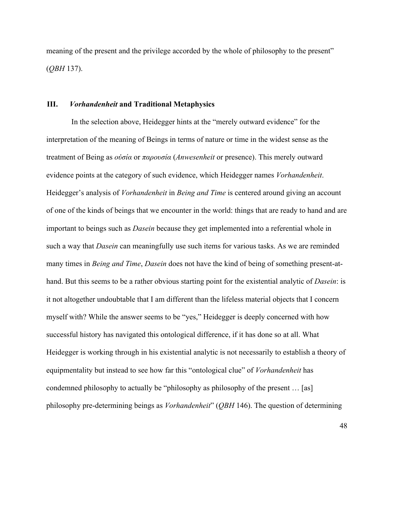meaning of the present and the privilege accorded by the whole of philosophy to the present" (*QBH* 137).

### **III.** *Vorhandenheit* **and Traditional Metaphysics**

In the selection above, Heidegger hints at the "merely outward evidence" for the interpretation of the meaning of Beings in terms of nature or time in the widest sense as the treatment of Being as *οὐσία* or *παρουσία* (*Anwesenheit* or presence). This merely outward evidence points at the category of such evidence, which Heidegger names *Vorhandenheit*. Heidegger's analysis of *Vorhandenheit* in *Being and Time* is centered around giving an account of one of the kinds of beings that we encounter in the world: things that are ready to hand and are important to beings such as *Dasein* because they get implemented into a referential whole in such a way that *Dasein* can meaningfully use such items for various tasks. As we are reminded many times in *Being and Time*, *Dasein* does not have the kind of being of something present-athand. But this seems to be a rather obvious starting point for the existential analytic of *Dasein*: is it not altogether undoubtable that I am different than the lifeless material objects that I concern myself with? While the answer seems to be "yes," Heidegger is deeply concerned with how successful history has navigated this ontological difference, if it has done so at all. What Heidegger is working through in his existential analytic is not necessarily to establish a theory of equipmentality but instead to see how far this "ontological clue" of *Vorhandenheit* has condemned philosophy to actually be "philosophy as philosophy of the present … [as] philosophy pre-determining beings as *Vorhandenheit*" (*QBH* 146). The question of determining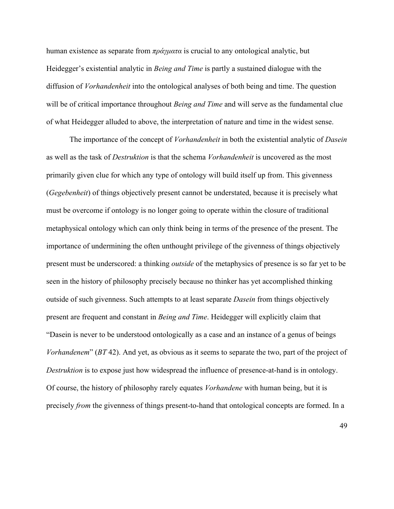human existence as separate from *πράγµατα* is crucial to any ontological analytic, but Heidegger's existential analytic in *Being and Time* is partly a sustained dialogue with the diffusion of *Vorhandenheit* into the ontological analyses of both being and time. The question will be of critical importance throughout *Being and Time* and will serve as the fundamental clue of what Heidegger alluded to above, the interpretation of nature and time in the widest sense.

The importance of the concept of *Vorhandenheit* in both the existential analytic of *Dasein* as well as the task of *Destruktion* is that the schema *Vorhandenheit* is uncovered as the most primarily given clue for which any type of ontology will build itself up from. This givenness (*Gegebenheit*) of things objectively present cannot be understated, because it is precisely what must be overcome if ontology is no longer going to operate within the closure of traditional metaphysical ontology which can only think being in terms of the presence of the present. The importance of undermining the often unthought privilege of the givenness of things objectively present must be underscored: a thinking *outside* of the metaphysics of presence is so far yet to be seen in the history of philosophy precisely because no thinker has yet accomplished thinking outside of such givenness. Such attempts to at least separate *Dasein* from things objectively present are frequent and constant in *Being and Time*. Heidegger will explicitly claim that "Dasein is never to be understood ontologically as a case and an instance of a genus of beings *Vorhandenem*" (*BT* 42). And yet, as obvious as it seems to separate the two, part of the project of *Destruktion* is to expose just how widespread the influence of presence-at-hand is in ontology. Of course, the history of philosophy rarely equates *Vorhandene* with human being, but it is precisely *from* the givenness of things present-to-hand that ontological concepts are formed. In a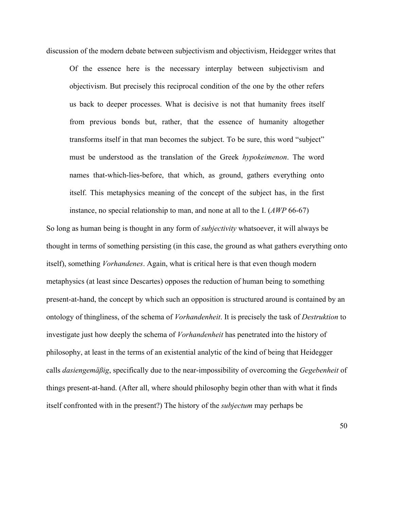discussion of the modern debate between subjectivism and objectivism, Heidegger writes that

Of the essence here is the necessary interplay between subjectivism and objectivism. But precisely this reciprocal condition of the one by the other refers us back to deeper processes. What is decisive is not that humanity frees itself from previous bonds but, rather, that the essence of humanity altogether transforms itself in that man becomes the subject. To be sure, this word "subject" must be understood as the translation of the Greek *hypokeimenon*. The word names that-which-lies-before, that which, as ground, gathers everything onto itself. This metaphysics meaning of the concept of the subject has, in the first instance, no special relationship to man, and none at all to the I. (*AWP* 66-67)

So long as human being is thought in any form of *subjectivity* whatsoever, it will always be thought in terms of something persisting (in this case, the ground as what gathers everything onto itself), something *Vorhandenes*. Again, what is critical here is that even though modern metaphysics (at least since Descartes) opposes the reduction of human being to something present-at-hand, the concept by which such an opposition is structured around is contained by an ontology of thingliness, of the schema of *Vorhandenheit*. It is precisely the task of *Destruktion* to investigate just how deeply the schema of *Vorhandenheit* has penetrated into the history of philosophy, at least in the terms of an existential analytic of the kind of being that Heidegger calls *dasiengemäßig*, specifically due to the near-impossibility of overcoming the *Gegebenheit* of things present-at-hand. (After all, where should philosophy begin other than with what it finds itself confronted with in the present?) The history of the *subjectum* may perhaps be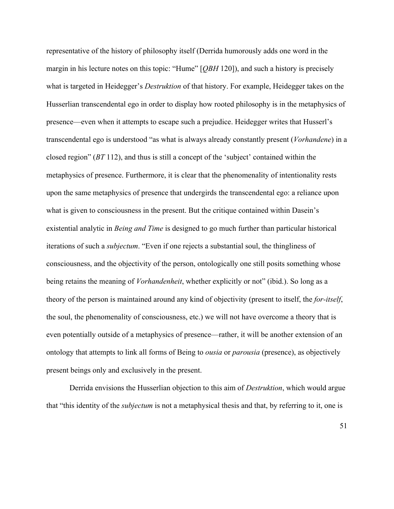representative of the history of philosophy itself (Derrida humorously adds one word in the margin in his lecture notes on this topic: "Hume" [*QBH* 120]), and such a history is precisely what is targeted in Heidegger's *Destruktion* of that history. For example, Heidegger takes on the Husserlian transcendental ego in order to display how rooted philosophy is in the metaphysics of presence—even when it attempts to escape such a prejudice. Heidegger writes that Husserl's transcendental ego is understood "as what is always already constantly present (*Vorhandene*) in a closed region" (*BT* 112), and thus is still a concept of the 'subject' contained within the metaphysics of presence. Furthermore, it is clear that the phenomenality of intentionality rests upon the same metaphysics of presence that undergirds the transcendental ego: a reliance upon what is given to consciousness in the present. But the critique contained within Dasein's existential analytic in *Being and Time* is designed to go much further than particular historical iterations of such a *subjectum*. "Even if one rejects a substantial soul, the thingliness of consciousness, and the objectivity of the person, ontologically one still posits something whose being retains the meaning of *Vorhandenheit*, whether explicitly or not" (ibid.). So long as a theory of the person is maintained around any kind of objectivity (present to itself, the *for-itself*, the soul, the phenomenality of consciousness, etc.) we will not have overcome a theory that is even potentially outside of a metaphysics of presence—rather, it will be another extension of an ontology that attempts to link all forms of Being to *ousia* or *parousia* (presence), as objectively present beings only and exclusively in the present.

Derrida envisions the Husserlian objection to this aim of *Destruktion*, which would argue that "this identity of the *subjectum* is not a metaphysical thesis and that, by referring to it, one is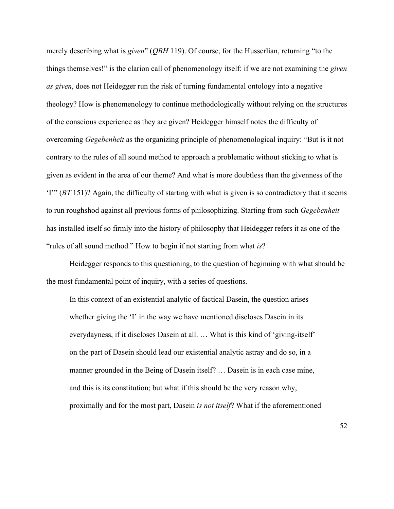merely describing what is *given*" (*QBH* 119). Of course, for the Husserlian, returning "to the things themselves!" is the clarion call of phenomenology itself: if we are not examining the *given as given*, does not Heidegger run the risk of turning fundamental ontology into a negative theology? How is phenomenology to continue methodologically without relying on the structures of the conscious experience as they are given? Heidegger himself notes the difficulty of overcoming *Gegebenheit* as the organizing principle of phenomenological inquiry: "But is it not contrary to the rules of all sound method to approach a problematic without sticking to what is given as evident in the area of our theme? And what is more doubtless than the givenness of the 'I'" (*BT* 151)? Again, the difficulty of starting with what is given is so contradictory that it seems to run roughshod against all previous forms of philosophizing. Starting from such *Gegebenheit* has installed itself so firmly into the history of philosophy that Heidegger refers it as one of the "rules of all sound method." How to begin if not starting from what *is*?

Heidegger responds to this questioning, to the question of beginning with what should be the most fundamental point of inquiry, with a series of questions.

In this context of an existential analytic of factical Dasein, the question arises whether giving the 'I' in the way we have mentioned discloses Dasein in its everydayness, if it discloses Dasein at all. … What is this kind of 'giving-itself' on the part of Dasein should lead our existential analytic astray and do so, in a manner grounded in the Being of Dasein itself? … Dasein is in each case mine, and this is its constitution; but what if this should be the very reason why, proximally and for the most part, Dasein *is not itself*? What if the aforementioned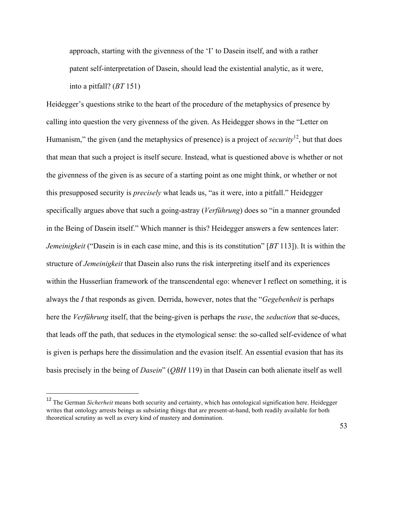approach, starting with the givenness of the 'I' to Dasein itself, and with a rather patent self-interpretation of Dasein, should lead the existential analytic, as it were, into a pitfall? (*BT* 151)

Heidegger's questions strike to the heart of the procedure of the metaphysics of presence by calling into question the very givenness of the given. As Heidegger shows in the "Letter on Humanism," the given (and the metaphysics of presence) is a project of *security*12, but that does that mean that such a project is itself secure. Instead, what is questioned above is whether or not the givenness of the given is as secure of a starting point as one might think, or whether or not this presupposed security is *precisely* what leads us, "as it were, into a pitfall." Heidegger specifically argues above that such a going-astray (*Verführung*) does so "in a manner grounded in the Being of Dasein itself." Which manner is this? Heidegger answers a few sentences later: *Jemeinigkeit* ("Dasein is in each case mine, and this is its constitution" [*BT* 113]). It is within the structure of *Jemeinigkeit* that Dasein also runs the risk interpreting itself and its experiences within the Husserlian framework of the transcendental ego: whenever I reflect on something, it is always the *I* that responds as given. Derrida, however, notes that the "*Gegebenheit* is perhaps here the *Verführung* itself, that the being-given is perhaps the *ruse*, the *seduction* that se-duces, that leads off the path, that seduces in the etymological sense: the so-called self-evidence of what is given is perhaps here the dissimulation and the evasion itself. An essential evasion that has its basis precisely in the being of *Dasein*" (*QBH* 119) in that Dasein can both alienate itself as well

<sup>&</sup>lt;sup>12</sup> The German *Sicherheit* means both security and certainty, which has ontological signification here. Heidegger writes that ontology arrests beings as subsisting things that are present-at-hand, both readily available for both theoretical scrutiny as well as every kind of mastery and domination.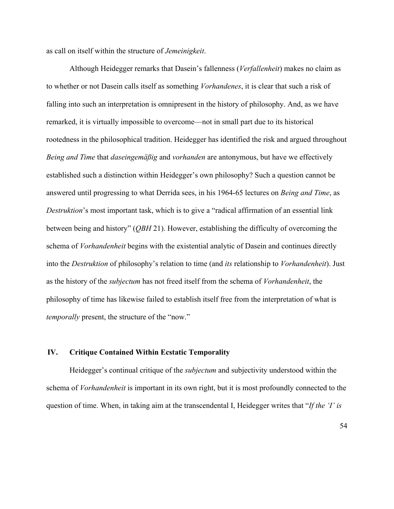as call on itself within the structure of *Jemeinigkeit*.

Although Heidegger remarks that Dasein's fallenness (*Verfallenheit*) makes no claim as to whether or not Dasein calls itself as something *Vorhandenes*, it is clear that such a risk of falling into such an interpretation is omnipresent in the history of philosophy. And, as we have remarked, it is virtually impossible to overcome—not in small part due to its historical rootedness in the philosophical tradition. Heidegger has identified the risk and argued throughout *Being and Time* that *daseingemäßig* and *vorhanden* are antonymous, but have we effectively established such a distinction within Heidegger's own philosophy? Such a question cannot be answered until progressing to what Derrida sees, in his 1964-65 lectures on *Being and Time*, as *Destruktion*'s most important task, which is to give a "radical affirmation of an essential link between being and history" (*QBH* 21). However, establishing the difficulty of overcoming the schema of *Vorhandenheit* begins with the existential analytic of Dasein and continues directly into the *Destruktion* of philosophy's relation to time (and *its* relationship to *Vorhandenheit*). Just as the history of the *subjectum* has not freed itself from the schema of *Vorhandenheit*, the philosophy of time has likewise failed to establish itself free from the interpretation of what is *temporally* present, the structure of the "now."

## **IV. Critique Contained Within Ecstatic Temporality**

Heidegger's continual critique of the *subjectum* and subjectivity understood within the schema of *Vorhandenheit* is important in its own right, but it is most profoundly connected to the question of time. When, in taking aim at the transcendental I, Heidegger writes that "*If the 'I' is*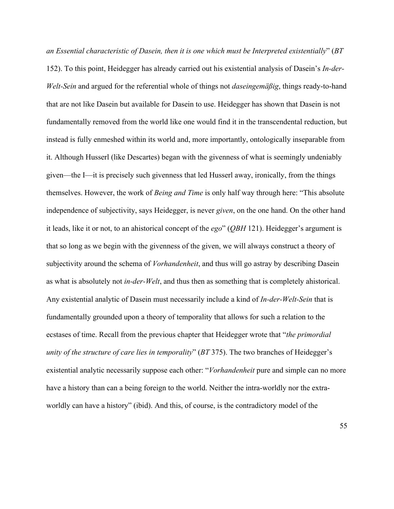*an Essential characteristic of Dasein, then it is one which must be Interpreted existentially*" (*BT* 152). To this point, Heidegger has already carried out his existential analysis of Dasein's *In-der-Welt-Sein* and argued for the referential whole of things not *daseingemäßig*, things ready-to-hand that are not like Dasein but available for Dasein to use. Heidegger has shown that Dasein is not fundamentally removed from the world like one would find it in the transcendental reduction, but instead is fully enmeshed within its world and, more importantly, ontologically inseparable from it. Although Husserl (like Descartes) began with the givenness of what is seemingly undeniably given—the I—it is precisely such givenness that led Husserl away, ironically, from the things themselves. However, the work of *Being and Time* is only half way through here: "This absolute independence of subjectivity, says Heidegger, is never *given*, on the one hand. On the other hand it leads, like it or not, to an ahistorical concept of the *ego*" (*QBH* 121). Heidegger's argument is that so long as we begin with the givenness of the given, we will always construct a theory of subjectivity around the schema of *Vorhandenheit*, and thus will go astray by describing Dasein as what is absolutely not *in-der-Welt*, and thus then as something that is completely ahistorical. Any existential analytic of Dasein must necessarily include a kind of *In-der-Welt-Sein* that is fundamentally grounded upon a theory of temporality that allows for such a relation to the ecstases of time. Recall from the previous chapter that Heidegger wrote that "*the primordial unity of the structure of care lies in temporality*" (*BT* 375). The two branches of Heidegger's existential analytic necessarily suppose each other: "*Vorhandenheit* pure and simple can no more have a history than can a being foreign to the world. Neither the intra-worldly nor the extraworldly can have a history" (ibid). And this, of course, is the contradictory model of the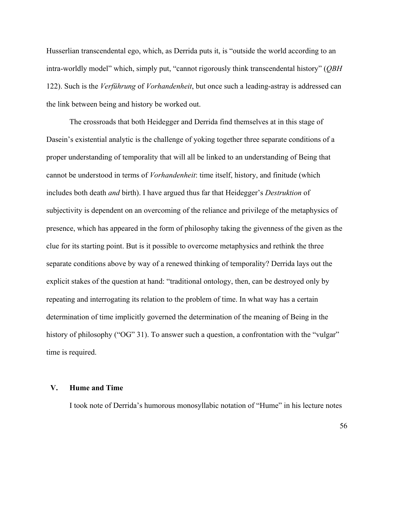Husserlian transcendental ego, which, as Derrida puts it, is "outside the world according to an intra-worldly model" which, simply put, "cannot rigorously think transcendental history" (*QBH* 122). Such is the *Verführung* of *Vorhandenheit*, but once such a leading-astray is addressed can the link between being and history be worked out.

The crossroads that both Heidegger and Derrida find themselves at in this stage of Dasein's existential analytic is the challenge of yoking together three separate conditions of a proper understanding of temporality that will all be linked to an understanding of Being that cannot be understood in terms of *Vorhandenheit*: time itself, history, and finitude (which includes both death *and* birth). I have argued thus far that Heidegger's *Destruktion* of subjectivity is dependent on an overcoming of the reliance and privilege of the metaphysics of presence, which has appeared in the form of philosophy taking the givenness of the given as the clue for its starting point. But is it possible to overcome metaphysics and rethink the three separate conditions above by way of a renewed thinking of temporality? Derrida lays out the explicit stakes of the question at hand: "traditional ontology, then, can be destroyed only by repeating and interrogating its relation to the problem of time. In what way has a certain determination of time implicitly governed the determination of the meaning of Being in the history of philosophy ("OG" 31). To answer such a question, a confrontation with the "vulgar" time is required.

### **V. Hume and Time**

I took note of Derrida's humorous monosyllabic notation of "Hume" in his lecture notes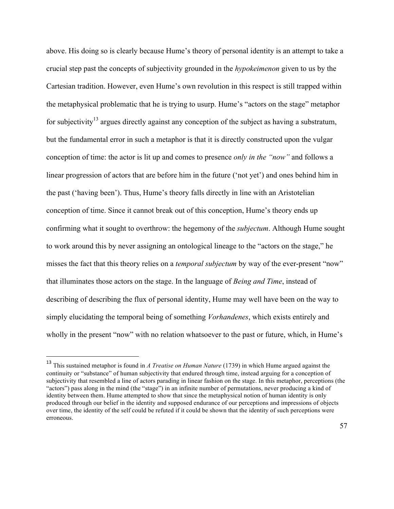above. His doing so is clearly because Hume's theory of personal identity is an attempt to take a crucial step past the concepts of subjectivity grounded in the *hypokeimenon* given to us by the Cartesian tradition. However, even Hume's own revolution in this respect is still trapped within the metaphysical problematic that he is trying to usurp. Hume's "actors on the stage" metaphor for subjectivity<sup>13</sup> argues directly against any conception of the subject as having a substratum, but the fundamental error in such a metaphor is that it is directly constructed upon the vulgar conception of time: the actor is lit up and comes to presence *only in the "now"* and follows a linear progression of actors that are before him in the future ('not yet') and ones behind him in the past ('having been'). Thus, Hume's theory falls directly in line with an Aristotelian conception of time. Since it cannot break out of this conception, Hume's theory ends up confirming what it sought to overthrow: the hegemony of the *subjectum*. Although Hume sought to work around this by never assigning an ontological lineage to the "actors on the stage," he misses the fact that this theory relies on a *temporal subjectum* by way of the ever-present "now" that illuminates those actors on the stage. In the language of *Being and Time*, instead of describing of describing the flux of personal identity, Hume may well have been on the way to simply elucidating the temporal being of something *Vorhandenes*, which exists entirely and wholly in the present "now" with no relation whatsoever to the past or future, which, in Hume's

<sup>13</sup> This sustained metaphor is found in *A Treatise on Human Nature* (1739) in which Hume argued against the continuity or "substance" of human subjectivity that endured through time, instead arguing for a conception of subjectivity that resembled a line of actors parading in linear fashion on the stage. In this metaphor, perceptions (the "actors") pass along in the mind (the "stage") in an infinite number of permutations, never producing a kind of identity between them. Hume attempted to show that since the metaphysical notion of human identity is only produced through our belief in the identity and supposed endurance of our perceptions and impressions of objects over time, the identity of the self could be refuted if it could be shown that the identity of such perceptions were erroneous.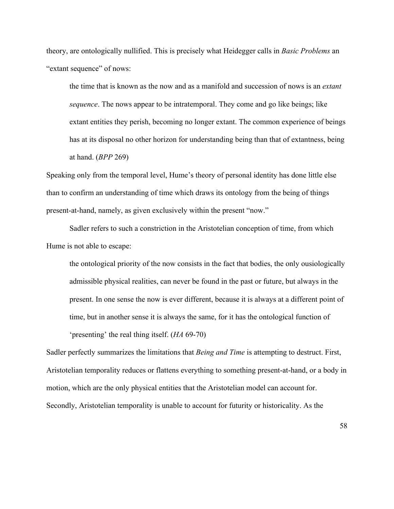theory, are ontologically nullified. This is precisely what Heidegger calls in *Basic Problems* an "extant sequence" of nows:

the time that is known as the now and as a manifold and succession of nows is an *extant sequence*. The nows appear to be intratemporal. They come and go like beings; like extant entities they perish, becoming no longer extant. The common experience of beings has at its disposal no other horizon for understanding being than that of extantness, being at hand. (*BPP* 269)

Speaking only from the temporal level, Hume's theory of personal identity has done little else than to confirm an understanding of time which draws its ontology from the being of things present-at-hand, namely, as given exclusively within the present "now."

Sadler refers to such a constriction in the Aristotelian conception of time, from which Hume is not able to escape:

the ontological priority of the now consists in the fact that bodies, the only ousiologically admissible physical realities, can never be found in the past or future, but always in the present. In one sense the now is ever different, because it is always at a different point of time, but in another sense it is always the same, for it has the ontological function of 'presenting' the real thing itself. (*HA* 69-70)

Sadler perfectly summarizes the limitations that *Being and Time* is attempting to destruct. First, Aristotelian temporality reduces or flattens everything to something present-at-hand, or a body in motion, which are the only physical entities that the Aristotelian model can account for. Secondly, Aristotelian temporality is unable to account for futurity or historicality. As the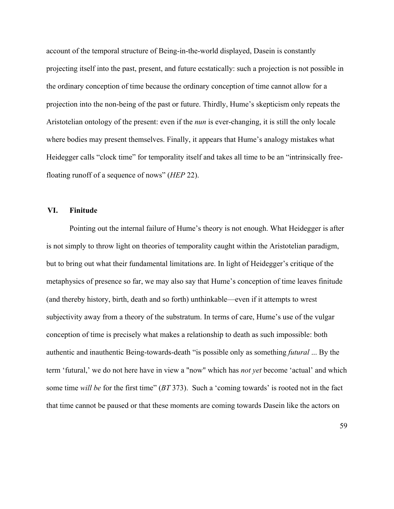account of the temporal structure of Being-in-the-world displayed, Dasein is constantly projecting itself into the past, present, and future ecstatically: such a projection is not possible in the ordinary conception of time because the ordinary conception of time cannot allow for a projection into the non-being of the past or future. Thirdly, Hume's skepticism only repeats the Aristotelian ontology of the present: even if the *nun* is ever-changing, it is still the only locale where bodies may present themselves. Finally, it appears that Hume's analogy mistakes what Heidegger calls "clock time" for temporality itself and takes all time to be an "intrinsically freefloating runoff of a sequence of nows" (*HEP* 22).

## **VI. Finitude**

Pointing out the internal failure of Hume's theory is not enough. What Heidegger is after is not simply to throw light on theories of temporality caught within the Aristotelian paradigm, but to bring out what their fundamental limitations are. In light of Heidegger's critique of the metaphysics of presence so far, we may also say that Hume's conception of time leaves finitude (and thereby history, birth, death and so forth) unthinkable—even if it attempts to wrest subjectivity away from a theory of the substratum. In terms of care, Hume's use of the vulgar conception of time is precisely what makes a relationship to death as such impossible: both authentic and inauthentic Being-towards-death "is possible only as something *futural* ... By the term 'futural,' we do not here have in view a "now" which has *not yet* become 'actual' and which some time *will be* for the first time" (*BT* 373). Such a 'coming towards' is rooted not in the fact that time cannot be paused or that these moments are coming towards Dasein like the actors on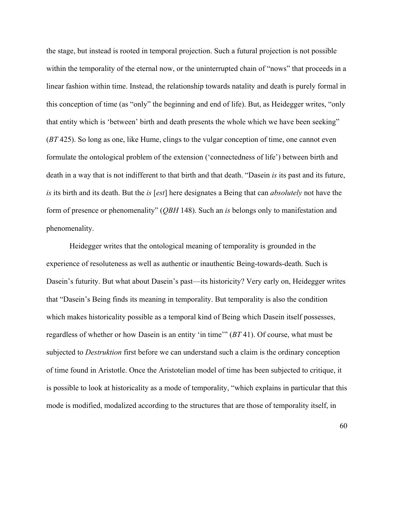the stage, but instead is rooted in temporal projection. Such a futural projection is not possible within the temporality of the eternal now, or the uninterrupted chain of "nows" that proceeds in a linear fashion within time. Instead, the relationship towards natality and death is purely formal in this conception of time (as "only" the beginning and end of life). But, as Heidegger writes, "only that entity which is 'between' birth and death presents the whole which we have been seeking" (*BT* 425). So long as one, like Hume, clings to the vulgar conception of time, one cannot even formulate the ontological problem of the extension ('connectedness of life') between birth and death in a way that is not indifferent to that birth and that death. "Dasein *is* its past and its future, *is* its birth and its death. But the *is* [*est*] here designates a Being that can *absolutely* not have the form of presence or phenomenality" (*QBH* 148). Such an *is* belongs only to manifestation and phenomenality.

Heidegger writes that the ontological meaning of temporality is grounded in the experience of resoluteness as well as authentic or inauthentic Being-towards-death. Such is Dasein's futurity. But what about Dasein's past—its historicity? Very early on, Heidegger writes that "Dasein's Being finds its meaning in temporality. But temporality is also the condition which makes historicality possible as a temporal kind of Being which Dasein itself possesses, regardless of whether or how Dasein is an entity 'in time'" (*BT* 41). Of course, what must be subjected to *Destruktion* first before we can understand such a claim is the ordinary conception of time found in Aristotle. Once the Aristotelian model of time has been subjected to critique, it is possible to look at historicality as a mode of temporality, "which explains in particular that this mode is modified, modalized according to the structures that are those of temporality itself, in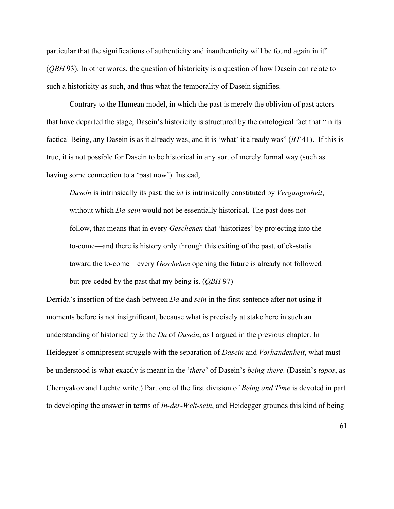particular that the significations of authenticity and inauthenticity will be found again in it" (*QBH* 93). In other words, the question of historicity is a question of how Dasein can relate to such a historicity as such, and thus what the temporality of Dasein signifies.

Contrary to the Humean model, in which the past is merely the oblivion of past actors that have departed the stage, Dasein's historicity is structured by the ontological fact that "in its factical Being, any Dasein is as it already was, and it is 'what' it already was" (*BT* 41). If this is true, it is not possible for Dasein to be historical in any sort of merely formal way (such as having some connection to a 'past now'). Instead,

*Dasein* is intrinsically its past: the *ist* is intrinsically constituted by *Vergangenheit*, without which *Da-sein* would not be essentially historical. The past does not follow, that means that in every *Geschenen* that 'historizes' by projecting into the to-come—and there is history only through this exiting of the past, of ek-statis toward the to-come—every *Geschehen* opening the future is already not followed but pre-ceded by the past that my being is. (*QBH* 97)

Derrida's insertion of the dash between *Da* and *sein* in the first sentence after not using it moments before is not insignificant, because what is precisely at stake here in such an understanding of historicality *is* the *Da* of *Dasein*, as I argued in the previous chapter. In Heidegger's omnipresent struggle with the separation of *Dasein* and *Vorhandenheit*, what must be understood is what exactly is meant in the '*there*' of Dasein's *being-there*. (Dasein's *topos*, as Chernyakov and Luchte write.) Part one of the first division of *Being and Time* is devoted in part to developing the answer in terms of *In-der-Welt-sein*, and Heidegger grounds this kind of being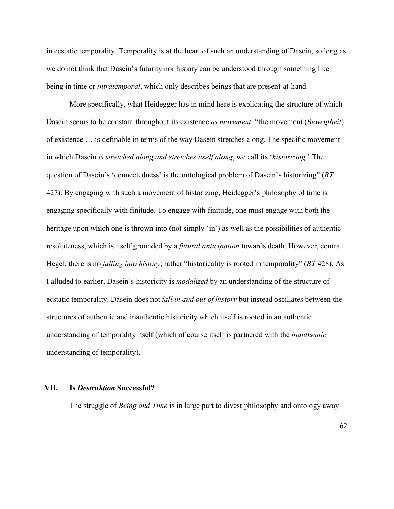in ecstatic temporality. Temporality is at the heart of such an understanding of Dasein, so long as we do not think that Dasein's futurity nor history can be understood through something like being in time or *intratemporal*, which only describes beings that are present-at-hand.

More specifically, what Heidegger has in mind here is explicating the structure of which Dasein seems to be constant throughout its existence *as movement*: "the movement (*Bewegtheit*) of existence … is definable in terms of the way Dasein stretches along. The specific movement in which Dasein *is stretched along and stretches itself along*, we call its '*historizing*.' The question of Dasein's 'connectedness' is the ontological problem of Dasein's historizing" (*BT* 427). By engaging with such a movement of historizing, Heidegger's philosophy of time is engaging specifically with finitude. To engage with finitude, one must engage with both the heritage upon which one is thrown into (not simply 'in') as well as the possibilities of authentic resoluteness, which is itself grounded by a *futural anticipation* towards death. However, contra Hegel, there is no *falling into history*; rather "historicality is rooted in temporality" (*BT* 428). As I alluded to earlier, Dasein's historicity is *modalized* by an understanding of the structure of ecstatic temporality. Dasein does not *fall in and out of history* but instead oscillates between the structures of authentic and inauthentic historicity which itself is rooted in an authentic understanding of temporality itself (which of course itself is partnered with the *inauthentic* understanding of temporality).

## **VII. Is** *Destruktion* **Successful?**

The struggle of *Being and Time* is in large part to divest philosophy and ontology away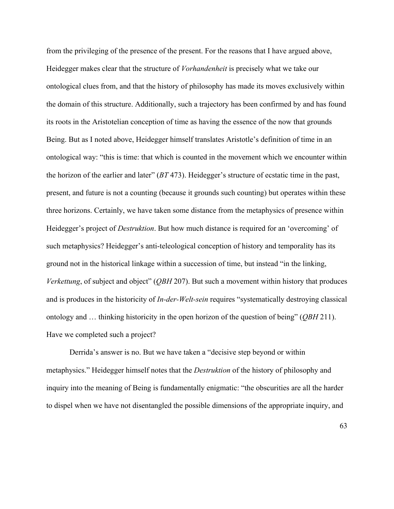from the privileging of the presence of the present. For the reasons that I have argued above, Heidegger makes clear that the structure of *Vorhandenheit* is precisely what we take our ontological clues from, and that the history of philosophy has made its moves exclusively within the domain of this structure. Additionally, such a trajectory has been confirmed by and has found its roots in the Aristotelian conception of time as having the essence of the now that grounds Being. But as I noted above, Heidegger himself translates Aristotle's definition of time in an ontological way: "this is time: that which is counted in the movement which we encounter within the horizon of the earlier and later" (*BT* 473). Heidegger's structure of ecstatic time in the past, present, and future is not a counting (because it grounds such counting) but operates within these three horizons. Certainly, we have taken some distance from the metaphysics of presence within Heidegger's project of *Destruktion*. But how much distance is required for an 'overcoming' of such metaphysics? Heidegger's anti-teleological conception of history and temporality has its ground not in the historical linkage within a succession of time, but instead "in the linking, *Verkettung*, of subject and object" (*QBH* 207). But such a movement within history that produces and is produces in the historicity of *In-der-Welt-sein* requires "systematically destroying classical ontology and … thinking historicity in the open horizon of the question of being" (*QBH* 211). Have we completed such a project?

Derrida's answer is no. But we have taken a "decisive step beyond or within metaphysics." Heidegger himself notes that the *Destruktion* of the history of philosophy and inquiry into the meaning of Being is fundamentally enigmatic: "the obscurities are all the harder to dispel when we have not disentangled the possible dimensions of the appropriate inquiry, and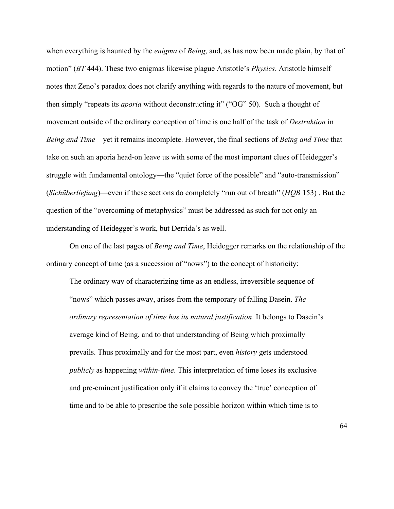when everything is haunted by the *enigma* of *Being*, and, as has now been made plain, by that of motion" (*BT* 444). These two enigmas likewise plague Aristotle's *Physics*. Aristotle himself notes that Zeno's paradox does not clarify anything with regards to the nature of movement, but then simply "repeats its *aporia* without deconstructing it" ("OG" 50). Such a thought of movement outside of the ordinary conception of time is one half of the task of *Destruktion* in *Being and Time*—yet it remains incomplete. However, the final sections of *Being and Time* that take on such an aporia head-on leave us with some of the most important clues of Heidegger's struggle with fundamental ontology—the "quiet force of the possible" and "auto-transmission" (*Sichüberliefung*)—even if these sections do completely "run out of breath" (*HQB* 153) . But the question of the "overcoming of metaphysics" must be addressed as such for not only an understanding of Heidegger's work, but Derrida's as well.

On one of the last pages of *Being and Time*, Heidegger remarks on the relationship of the ordinary concept of time (as a succession of "nows") to the concept of historicity:

The ordinary way of characterizing time as an endless, irreversible sequence of "nows" which passes away, arises from the temporary of falling Dasein. *The ordinary representation of time has its natural justification*. It belongs to Dasein's average kind of Being, and to that understanding of Being which proximally prevails. Thus proximally and for the most part, even *history* gets understood *publicly* as happening *within-time*. This interpretation of time loses its exclusive and pre-eminent justification only if it claims to convey the 'true' conception of time and to be able to prescribe the sole possible horizon within which time is to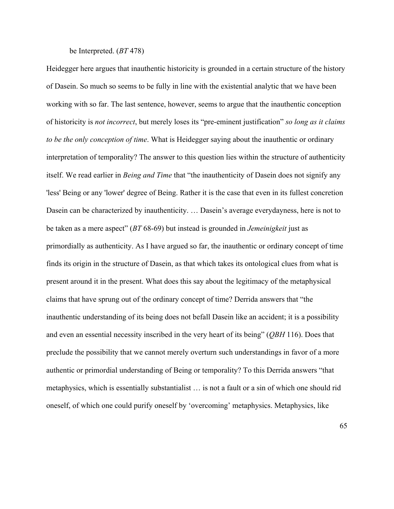### be Interpreted. (*BT* 478)

Heidegger here argues that inauthentic historicity is grounded in a certain structure of the history of Dasein. So much so seems to be fully in line with the existential analytic that we have been working with so far. The last sentence, however, seems to argue that the inauthentic conception of historicity is *not incorrect*, but merely loses its "pre-eminent justification" *so long as it claims to be the only conception of time*. What is Heidegger saying about the inauthentic or ordinary interpretation of temporality? The answer to this question lies within the structure of authenticity itself. We read earlier in *Being and Time* that "the inauthenticity of Dasein does not signify any 'less' Being or any 'lower' degree of Being. Rather it is the case that even in its fullest concretion Dasein can be characterized by inauthenticity. … Dasein's average everydayness, here is not to be taken as a mere aspect" (*BT* 68-69) but instead is grounded in *Jemeinigkeit* just as primordially as authenticity. As I have argued so far, the inauthentic or ordinary concept of time finds its origin in the structure of Dasein, as that which takes its ontological clues from what is present around it in the present. What does this say about the legitimacy of the metaphysical claims that have sprung out of the ordinary concept of time? Derrida answers that "the inauthentic understanding of its being does not befall Dasein like an accident; it is a possibility and even an essential necessity inscribed in the very heart of its being" (*QBH* 116). Does that preclude the possibility that we cannot merely overturn such understandings in favor of a more authentic or primordial understanding of Being or temporality? To this Derrida answers "that metaphysics, which is essentially substantialist … is not a fault or a sin of which one should rid oneself, of which one could purify oneself by 'overcoming' metaphysics. Metaphysics, like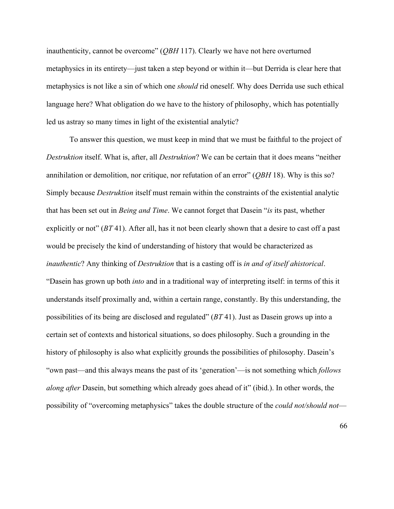inauthenticity, cannot be overcome" (*QBH* 117). Clearly we have not here overturned metaphysics in its entirety—just taken a step beyond or within it—but Derrida is clear here that metaphysics is not like a sin of which one *should* rid oneself. Why does Derrida use such ethical language here? What obligation do we have to the history of philosophy, which has potentially led us astray so many times in light of the existential analytic?

To answer this question, we must keep in mind that we must be faithful to the project of *Destruktion* itself. What is, after, all *Destruktion*? We can be certain that it does means "neither annihilation or demolition, nor critique, nor refutation of an error" (*QBH* 18). Why is this so? Simply because *Destruktion* itself must remain within the constraints of the existential analytic that has been set out in *Being and Time*. We cannot forget that Dasein "*is* its past, whether explicitly or not" (*BT* 41). After all, has it not been clearly shown that a desire to cast off a past would be precisely the kind of understanding of history that would be characterized as *inauthentic*? Any thinking of *Destruktion* that is a casting off is *in and of itself ahistorical*. "Dasein has grown up both *into* and in a traditional way of interpreting itself: in terms of this it understands itself proximally and, within a certain range, constantly. By this understanding, the possibilities of its being are disclosed and regulated" (*BT* 41). Just as Dasein grows up into a certain set of contexts and historical situations, so does philosophy. Such a grounding in the history of philosophy is also what explicitly grounds the possibilities of philosophy. Dasein's "own past—and this always means the past of its 'generation'—is not something which *follows along after* Dasein, but something which already goes ahead of it" (ibid.). In other words, the possibility of "overcoming metaphysics" takes the double structure of the *could not/should not*—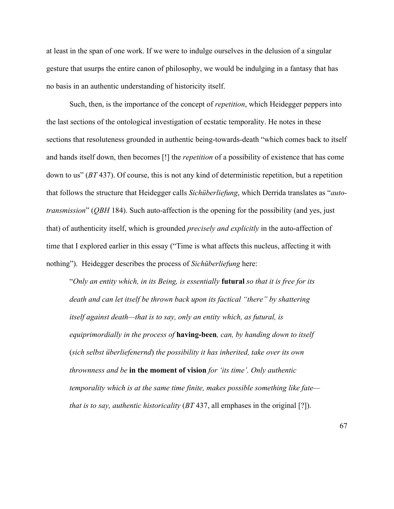at least in the span of one work. If we were to indulge ourselves in the delusion of a singular gesture that usurps the entire canon of philosophy, we would be indulging in a fantasy that has no basis in an authentic understanding of historicity itself.

Such, then, is the importance of the concept of *repetition*, which Heidegger peppers into the last sections of the ontological investigation of ecstatic temporality. He notes in these sections that resoluteness grounded in authentic being-towards-death "which comes back to itself and hands itself down, then becomes [!] the *repetition* of a possibility of existence that has come down to us" (*BT* 437). Of course, this is not any kind of deterministic repetition, but a repetition that follows the structure that Heidegger calls *Sichüberliefung*, which Derrida translates as "*autotransmission*" (*QBH* 184). Such auto-affection is the opening for the possibility (and yes, just that) of authenticity itself, which is grounded *precisely and explicitly* in the auto-affection of time that I explored earlier in this essay ("Time is what affects this nucleus, affecting it with nothing"). Heidegger describes the process of *Sichüberliefung* here:

"*Only an entity which, in its Being, is essentially* **futural** *so that it is free for its death and can let itself be thrown back upon its factical "there" by shattering itself against death—that is to say, only an entity which, as futural, is equiprimordially in the process of* **having-been***, can, by handing down to itself* (*sich selbst überliefenernd*) *the possibility it has inherited, take over its own thrownness and be* **in the moment of vision** *for 'its time'. Only authentic temporality which is at the same time finite, makes possible something like fate that is to say, authentic historicality* (*BT* 437, all emphases in the original [?]).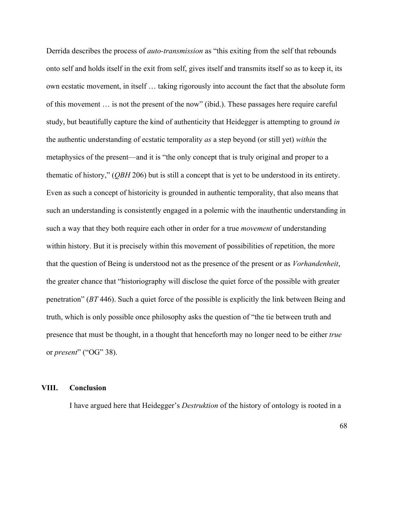Derrida describes the process of *auto-transmission* as "this exiting from the self that rebounds onto self and holds itself in the exit from self, gives itself and transmits itself so as to keep it, its own ecstatic movement, in itself … taking rigorously into account the fact that the absolute form of this movement … is not the present of the now" (ibid.). These passages here require careful study, but beautifully capture the kind of authenticity that Heidegger is attempting to ground *in* the authentic understanding of ecstatic temporality *as* a step beyond (or still yet) *within* the metaphysics of the present—and it is "the only concept that is truly original and proper to a thematic of history," (*QBH* 206) but is still a concept that is yet to be understood in its entirety. Even as such a concept of historicity is grounded in authentic temporality, that also means that such an understanding is consistently engaged in a polemic with the inauthentic understanding in such a way that they both require each other in order for a true *movement* of understanding within history. But it is precisely within this movement of possibilities of repetition, the more that the question of Being is understood not as the presence of the present or as *Vorhandenheit*, the greater chance that "historiography will disclose the quiet force of the possible with greater penetration" (*BT* 446). Such a quiet force of the possible is explicitly the link between Being and truth, which is only possible once philosophy asks the question of "the tie between truth and presence that must be thought, in a thought that henceforth may no longer need to be either *true* or *present*" ("OG" 38).

### **VIII. Conclusion**

I have argued here that Heidegger's *Destruktion* of the history of ontology is rooted in a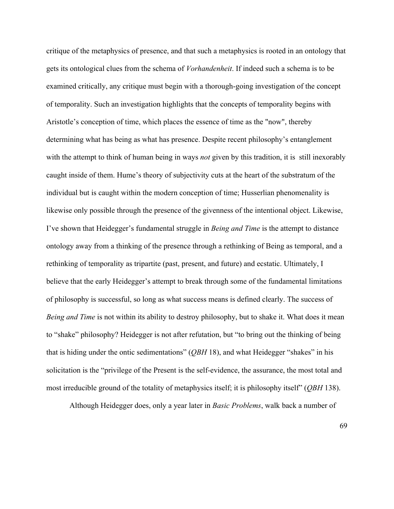critique of the metaphysics of presence, and that such a metaphysics is rooted in an ontology that gets its ontological clues from the schema of *Vorhandenheit*. If indeed such a schema is to be examined critically, any critique must begin with a thorough-going investigation of the concept of temporality. Such an investigation highlights that the concepts of temporality begins with Aristotle's conception of time, which places the essence of time as the "now", thereby determining what has being as what has presence. Despite recent philosophy's entanglement with the attempt to think of human being in ways *not* given by this tradition, it is still inexorably caught inside of them. Hume's theory of subjectivity cuts at the heart of the substratum of the individual but is caught within the modern conception of time; Husserlian phenomenality is likewise only possible through the presence of the givenness of the intentional object. Likewise, I've shown that Heidegger's fundamental struggle in *Being and Time* is the attempt to distance ontology away from a thinking of the presence through a rethinking of Being as temporal, and a rethinking of temporality as tripartite (past, present, and future) and ecstatic. Ultimately, I believe that the early Heidegger's attempt to break through some of the fundamental limitations of philosophy is successful, so long as what success means is defined clearly. The success of *Being and Time* is not within its ability to destroy philosophy, but to shake it. What does it mean to "shake" philosophy? Heidegger is not after refutation, but "to bring out the thinking of being that is hiding under the ontic sedimentations" (*QBH* 18), and what Heidegger "shakes" in his solicitation is the "privilege of the Present is the self-evidence, the assurance, the most total and most irreducible ground of the totality of metaphysics itself; it is philosophy itself" (*QBH* 138).

Although Heidegger does, only a year later in *Basic Problems*, walk back a number of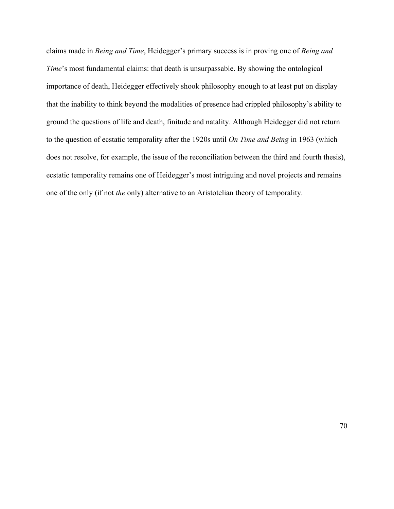claims made in *Being and Time*, Heidegger's primary success is in proving one of *Being and Time*'s most fundamental claims: that death is unsurpassable. By showing the ontological importance of death, Heidegger effectively shook philosophy enough to at least put on display that the inability to think beyond the modalities of presence had crippled philosophy's ability to ground the questions of life and death, finitude and natality. Although Heidegger did not return to the question of ecstatic temporality after the 1920s until *On Time and Being* in 1963 (which does not resolve, for example, the issue of the reconciliation between the third and fourth thesis), ecstatic temporality remains one of Heidegger's most intriguing and novel projects and remains one of the only (if not *the* only) alternative to an Aristotelian theory of temporality.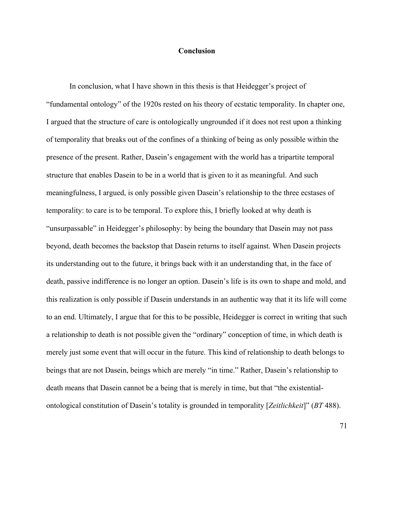### **Conclusion**

In conclusion, what I have shown in this thesis is that Heidegger's project of "fundamental ontology" of the 1920s rested on his theory of ecstatic temporality. In chapter one, I argued that the structure of care is ontologically ungrounded if it does not rest upon a thinking of temporality that breaks out of the confines of a thinking of being as only possible within the presence of the present. Rather, Dasein's engagement with the world has a tripartite temporal structure that enables Dasein to be in a world that is given to it as meaningful. And such meaningfulness, I argued, is only possible given Dasein's relationship to the three ecstases of temporality: to care is to be temporal. To explore this, I briefly looked at why death is "unsurpassable" in Heidegger's philosophy: by being the boundary that Dasein may not pass beyond, death becomes the backstop that Dasein returns to itself against. When Dasein projects its understanding out to the future, it brings back with it an understanding that, in the face of death, passive indifference is no longer an option. Dasein's life is its own to shape and mold, and this realization is only possible if Dasein understands in an authentic way that it its life will come to an end. Ultimately, I argue that for this to be possible, Heidegger is correct in writing that such a relationship to death is not possible given the "ordinary" conception of time, in which death is merely just some event that will occur in the future. This kind of relationship to death belongs to beings that are not Dasein, beings which are merely "in time." Rather, Dasein's relationship to death means that Dasein cannot be a being that is merely in time, but that "the existentialontological constitution of Dasein's totality is grounded in temporality [*Zeitlichkeit*]" (*BT* 488).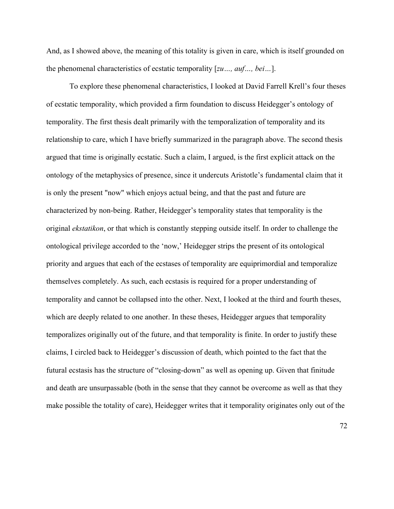And, as I showed above, the meaning of this totality is given in care, which is itself grounded on the phenomenal characteristics of ecstatic temporality [*zu…, auf…, bei…*].

To explore these phenomenal characteristics, I looked at David Farrell Krell's four theses of ecstatic temporality, which provided a firm foundation to discuss Heidegger's ontology of temporality. The first thesis dealt primarily with the temporalization of temporality and its relationship to care, which I have briefly summarized in the paragraph above. The second thesis argued that time is originally ecstatic. Such a claim, I argued, is the first explicit attack on the ontology of the metaphysics of presence, since it undercuts Aristotle's fundamental claim that it is only the present "now" which enjoys actual being, and that the past and future are characterized by non-being. Rather, Heidegger's temporality states that temporality is the original *ekstatikon*, or that which is constantly stepping outside itself. In order to challenge the ontological privilege accorded to the 'now,' Heidegger strips the present of its ontological priority and argues that each of the ecstases of temporality are equiprimordial and temporalize themselves completely. As such, each ecstasis is required for a proper understanding of temporality and cannot be collapsed into the other. Next, I looked at the third and fourth theses, which are deeply related to one another. In these theses, Heidegger argues that temporality temporalizes originally out of the future, and that temporality is finite. In order to justify these claims, I circled back to Heidegger's discussion of death, which pointed to the fact that the futural ecstasis has the structure of "closing-down" as well as opening up. Given that finitude and death are unsurpassable (both in the sense that they cannot be overcome as well as that they make possible the totality of care), Heidegger writes that it temporality originates only out of the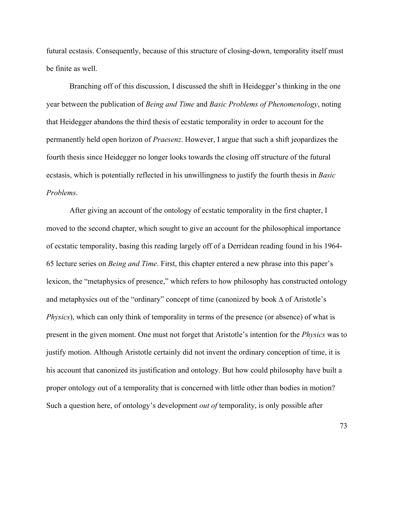futural ecstasis. Consequently, because of this structure of closing-down, temporality itself must be finite as well.

Branching off of this discussion, I discussed the shift in Heidegger's thinking in the one year between the publication of *Being and Time* and *Basic Problems of Phenomenology*, noting that Heidegger abandons the third thesis of ecstatic temporality in order to account for the permanently held open horizon of *Praesenz*. However, I argue that such a shift jeopardizes the fourth thesis since Heidegger no longer looks towards the closing off structure of the futural ecstasis, which is potentially reflected in his unwillingness to justify the fourth thesis in *Basic Problems*.

After giving an account of the ontology of ecstatic temporality in the first chapter, I moved to the second chapter, which sought to give an account for the philosophical importance of ecstatic temporality, basing this reading largely off of a Derridean reading found in his 1964- 65 lecture series on *Being and Time*. First, this chapter entered a new phrase into this paper's lexicon, the "metaphysics of presence," which refers to how philosophy has constructed ontology and metaphysics out of the "ordinary" concept of time (canonized by book ∆ of Aristotle's *Physics*), which can only think of temporality in terms of the presence (or absence) of what is present in the given moment. One must not forget that Aristotle's intention for the *Physics* was to justify motion. Although Aristotle certainly did not invent the ordinary conception of time, it is his account that canonized its justification and ontology. But how could philosophy have built a proper ontology out of a temporality that is concerned with little other than bodies in motion? Such a question here, of ontology's development *out of* temporality, is only possible after

73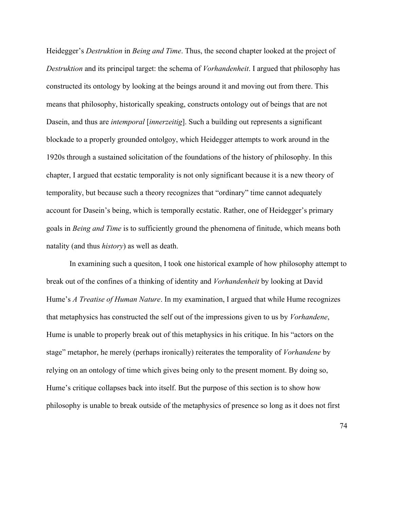Heidegger's *Destruktion* in *Being and Time*. Thus, the second chapter looked at the project of *Destruktion* and its principal target: the schema of *Vorhandenheit*. I argued that philosophy has constructed its ontology by looking at the beings around it and moving out from there. This means that philosophy, historically speaking, constructs ontology out of beings that are not Dasein, and thus are *intemporal* [*innerzeitig*]. Such a building out represents a significant blockade to a properly grounded ontolgoy, which Heidegger attempts to work around in the 1920s through a sustained solicitation of the foundations of the history of philosophy. In this chapter, I argued that ecstatic temporality is not only significant because it is a new theory of temporality, but because such a theory recognizes that "ordinary" time cannot adequately account for Dasein's being, which is temporally ecstatic. Rather, one of Heidegger's primary goals in *Being and Time* is to sufficiently ground the phenomena of finitude, which means both natality (and thus *history*) as well as death.

In examining such a quesiton, I took one historical example of how philosophy attempt to break out of the confines of a thinking of identity and *Vorhandenheit* by looking at David Hume's *A Treatise of Human Nature*. In my examination, I argued that while Hume recognizes that metaphysics has constructed the self out of the impressions given to us by *Vorhandene*, Hume is unable to properly break out of this metaphysics in his critique. In his "actors on the stage" metaphor, he merely (perhaps ironically) reiterates the temporality of *Vorhandene* by relying on an ontology of time which gives being only to the present moment. By doing so, Hume's critique collapses back into itself. But the purpose of this section is to show how philosophy is unable to break outside of the metaphysics of presence so long as it does not first

74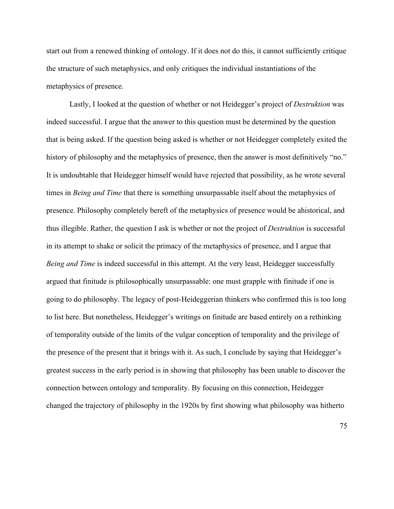start out from a renewed thinking of ontology. If it does not do this, it cannot sufficiently critique the structure of such metaphysics, and only critiques the individual instantiations of the metaphysics of presence.

Lastly, I looked at the question of whether or not Heidegger's project of *Destruktion* was indeed successful. I argue that the answer to this question must be determined by the question that is being asked. If the question being asked is whether or not Heidegger completely exited the history of philosophy and the metaphysics of presence, then the answer is most definitively "no." It is undoubtable that Heidegger himself would have rejected that possibility, as he wrote several times in *Being and Time* that there is something unsurpassable itself about the metaphysics of presence. Philosophy completely bereft of the metaphysics of presence would be ahistorical, and thus illegible. Rather, the question I ask is whether or not the project of *Destruktion* is successful in its attempt to shake or solicit the primacy of the metaphysics of presence, and I argue that *Being and Time* is indeed successful in this attempt. At the very least, Heidegger successfully argued that finitude is philosophically unsurpassable: one must grapple with finitude if one is going to do philosophy. The legacy of post-Heideggerian thinkers who confirmed this is too long to list here. But nonetheless, Heidegger's writings on finitude are based entirely on a rethinking of temporality outside of the limits of the vulgar conception of temporality and the privilege of the presence of the present that it brings with it. As such, I conclude by saying that Heidegger's greatest success in the early period is in showing that philosophy has been unable to discover the connection between ontology and temporality. By focusing on this connection, Heidegger changed the trajectory of philosophy in the 1920s by first showing what philosophy was hitherto

75